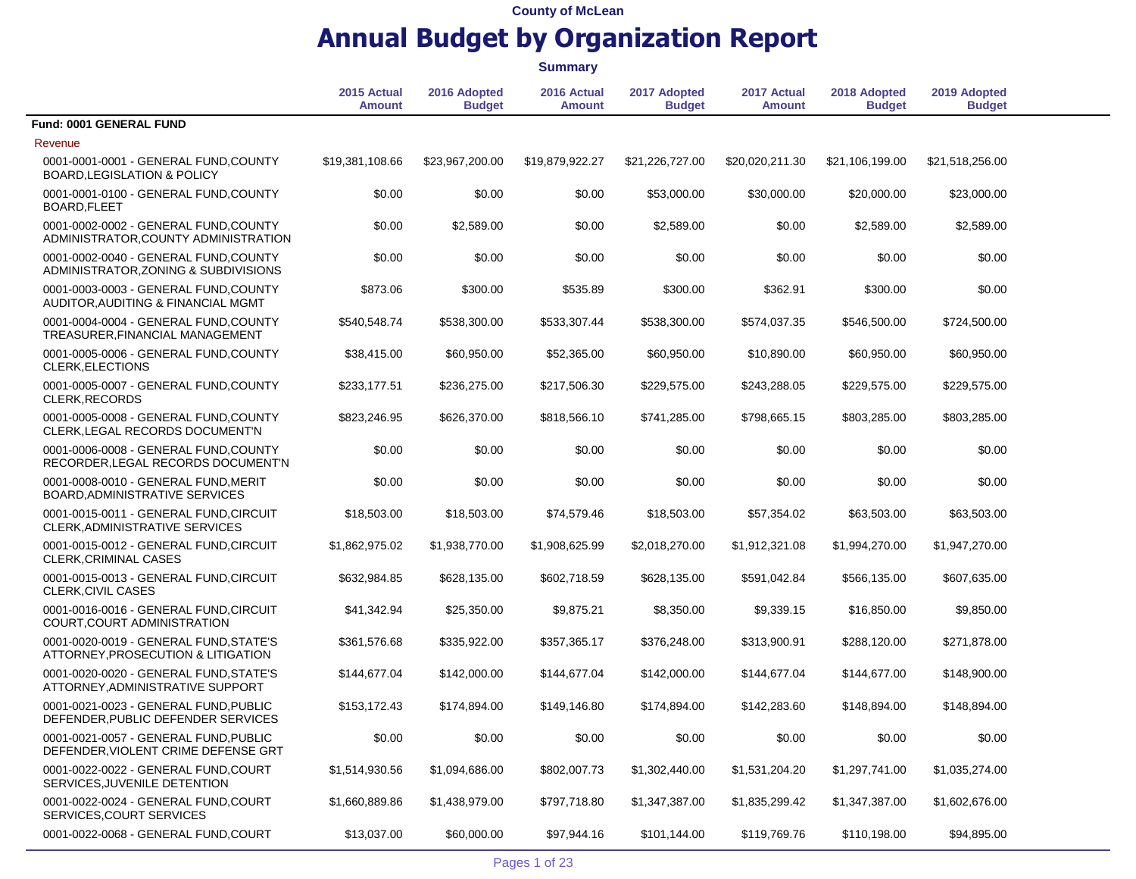|                                                                                 |                              |                               | <b>Summary</b>               |                               |                              |                               |                               |  |
|---------------------------------------------------------------------------------|------------------------------|-------------------------------|------------------------------|-------------------------------|------------------------------|-------------------------------|-------------------------------|--|
|                                                                                 | 2015 Actual<br><b>Amount</b> | 2016 Adopted<br><b>Budget</b> | 2016 Actual<br><b>Amount</b> | 2017 Adopted<br><b>Budget</b> | 2017 Actual<br><b>Amount</b> | 2018 Adopted<br><b>Budget</b> | 2019 Adopted<br><b>Budget</b> |  |
| Fund: 0001 GENERAL FUND                                                         |                              |                               |                              |                               |                              |                               |                               |  |
| Revenue                                                                         |                              |                               |                              |                               |                              |                               |                               |  |
| 0001-0001-0001 - GENERAL FUND, COUNTY<br><b>BOARD, LEGISLATION &amp; POLICY</b> | \$19,381,108.66              | \$23,967,200.00               | \$19.879.922.27              | \$21,226,727.00               | \$20,020,211.30              | \$21.106.199.00               | \$21,518,256.00               |  |
| 0001-0001-0100 - GENERAL FUND, COUNTY<br><b>BOARD.FLEET</b>                     | \$0.00                       | \$0.00                        | \$0.00                       | \$53,000.00                   | \$30,000.00                  | \$20,000.00                   | \$23,000.00                   |  |
| 0001-0002-0002 - GENERAL FUND, COUNTY<br>ADMINISTRATOR, COUNTY ADMINISTRATION   | \$0.00                       | \$2,589.00                    | \$0.00                       | \$2,589.00                    | \$0.00                       | \$2,589.00                    | \$2,589.00                    |  |
| 0001-0002-0040 - GENERAL FUND, COUNTY<br>ADMINISTRATOR, ZONING & SUBDIVISIONS   | \$0.00                       | \$0.00                        | \$0.00                       | \$0.00                        | \$0.00                       | \$0.00                        | \$0.00                        |  |
| 0001-0003-0003 - GENERAL FUND, COUNTY<br>AUDITOR, AUDITING & FINANCIAL MGMT     | \$873.06                     | \$300.00                      | \$535.89                     | \$300.00                      | \$362.91                     | \$300.00                      | \$0.00                        |  |
| 0001-0004-0004 - GENERAL FUND, COUNTY<br>TREASURER, FINANCIAL MANAGEMENT        | \$540,548.74                 | \$538,300.00                  | \$533,307.44                 | \$538,300.00                  | \$574,037.35                 | \$546,500.00                  | \$724,500.00                  |  |
| 0001-0005-0006 - GENERAL FUND, COUNTY<br>CLERK, ELECTIONS                       | \$38,415.00                  | \$60,950.00                   | \$52,365.00                  | \$60,950.00                   | \$10,890.00                  | \$60,950.00                   | \$60,950.00                   |  |
| 0001-0005-0007 - GENERAL FUND, COUNTY<br>CLERK, RECORDS                         | \$233,177.51                 | \$236,275.00                  | \$217,506.30                 | \$229,575.00                  | \$243,288.05                 | \$229,575.00                  | \$229,575.00                  |  |
| 0001-0005-0008 - GENERAL FUND, COUNTY<br>CLERK, LEGAL RECORDS DOCUMENT'N        | \$823,246.95                 | \$626,370.00                  | \$818,566.10                 | \$741,285.00                  | \$798,665.15                 | \$803,285.00                  | \$803,285.00                  |  |
| 0001-0006-0008 - GENERAL FUND, COUNTY<br>RECORDER, LEGAL RECORDS DOCUMENT'N     | \$0.00                       | \$0.00                        | \$0.00                       | \$0.00                        | \$0.00                       | \$0.00                        | \$0.00                        |  |
| 0001-0008-0010 - GENERAL FUND, MERIT<br>BOARD, ADMINISTRATIVE SERVICES          | \$0.00                       | \$0.00                        | \$0.00                       | \$0.00                        | \$0.00                       | \$0.00                        | \$0.00                        |  |
| 0001-0015-0011 - GENERAL FUND, CIRCUIT<br>CLERK, ADMINISTRATIVE SERVICES        | \$18,503.00                  | \$18,503.00                   | \$74,579.46                  | \$18,503.00                   | \$57,354.02                  | \$63,503.00                   | \$63,503.00                   |  |
| 0001-0015-0012 - GENERAL FUND, CIRCUIT<br>CLERK, CRIMINAL CASES                 | \$1,862,975.02               | \$1,938,770.00                | \$1,908,625.99               | \$2,018,270.00                | \$1,912,321.08               | \$1,994,270.00                | \$1,947,270.00                |  |
| 0001-0015-0013 - GENERAL FUND, CIRCUIT<br>CLERK, CIVIL CASES                    | \$632,984.85                 | \$628,135.00                  | \$602,718.59                 | \$628,135.00                  | \$591,042.84                 | \$566,135.00                  | \$607,635.00                  |  |
| 0001-0016-0016 - GENERAL FUND, CIRCUIT<br>COURT, COURT ADMINISTRATION           | \$41,342.94                  | \$25,350.00                   | \$9,875.21                   | \$8,350.00                    | \$9,339.15                   | \$16,850.00                   | \$9,850.00                    |  |
| 0001-0020-0019 - GENERAL FUND, STATE'S<br>ATTORNEY, PROSECUTION & LITIGATION    | \$361,576.68                 | \$335,922.00                  | \$357,365.17                 | \$376,248.00                  | \$313,900.91                 | \$288,120.00                  | \$271,878.00                  |  |
| 0001-0020-0020 - GENERAL FUND, STATE'S<br>ATTORNEY, ADMINISTRATIVE SUPPORT      | \$144,677.04                 | \$142,000.00                  | \$144,677.04                 | \$142,000.00                  | \$144,677.04                 | \$144,677.00                  | \$148,900.00                  |  |
| 0001-0021-0023 - GENERAL FUND, PUBLIC<br>DEFENDER, PUBLIC DEFENDER SERVICES     | \$153,172.43                 | \$174,894.00                  | \$149,146.80                 | \$174,894.00                  | \$142,283.60                 | \$148,894.00                  | \$148,894.00                  |  |
| 0001-0021-0057 - GENERAL FUND, PUBLIC<br>DEFENDER, VIOLENT CRIME DEFENSE GRT    | \$0.00                       | \$0.00                        | \$0.00                       | \$0.00                        | \$0.00                       | \$0.00                        | \$0.00                        |  |
| 0001-0022-0022 - GENERAL FUND, COURT<br>SERVICES, JUVENILE DETENTION            | \$1,514,930.56               | \$1,094,686.00                | \$802,007.73                 | \$1,302,440.00                | \$1,531,204.20               | \$1,297,741.00                | \$1,035,274.00                |  |
| 0001-0022-0024 - GENERAL FUND, COURT<br>SERVICES, COURT SERVICES                | \$1,660,889.86               | \$1,438,979.00                | \$797,718.80                 | \$1,347,387.00                | \$1,835,299.42               | \$1,347,387.00                | \$1,602,676.00                |  |
| 0001-0022-0068 - GENERAL FUND, COURT                                            | \$13,037.00                  | \$60,000.00                   | \$97,944.16                  | \$101,144.00                  | \$119,769.76                 | \$110,198.00                  | \$94,895.00                   |  |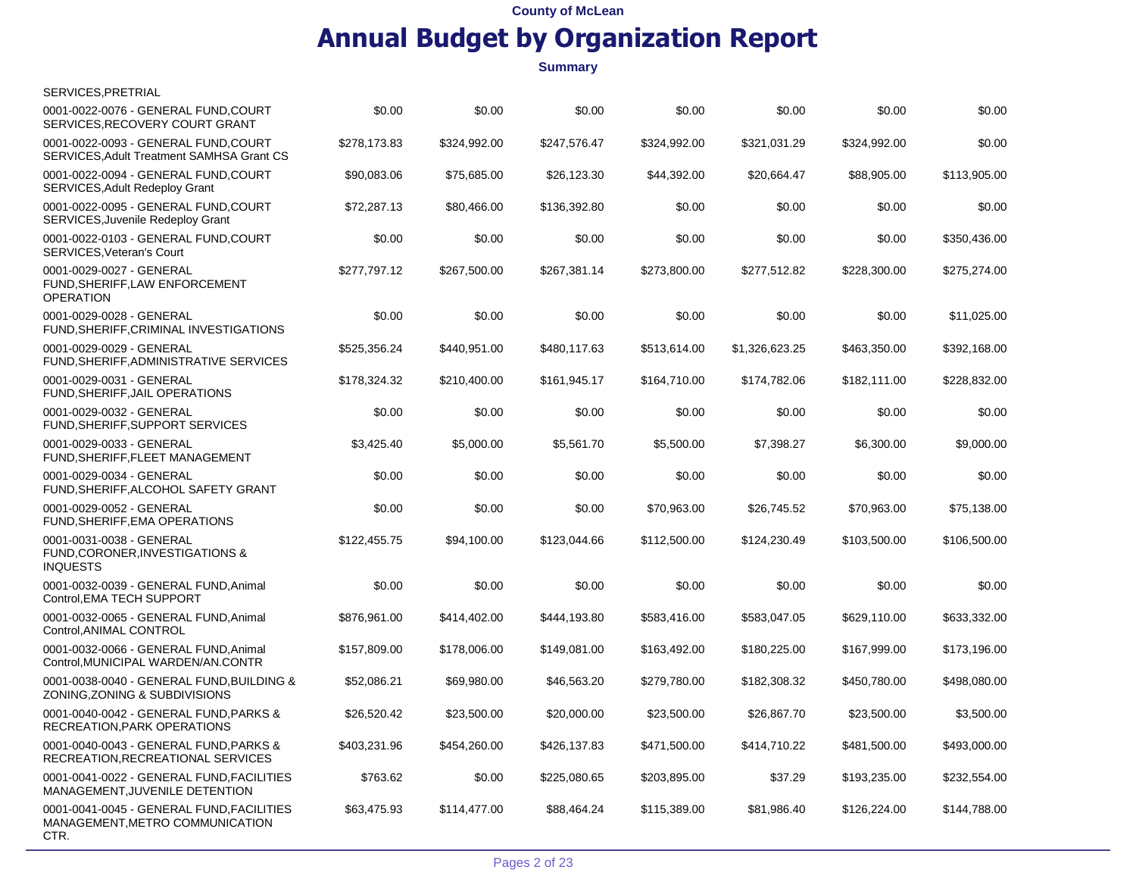### **Annual Budget by Organization Report**

| SERVICES, PRETRIAL                                                                   |              |              |              |              |                |              |              |
|--------------------------------------------------------------------------------------|--------------|--------------|--------------|--------------|----------------|--------------|--------------|
| 0001-0022-0076 - GENERAL FUND.COURT<br>SERVICES, RECOVERY COURT GRANT                | \$0.00       | \$0.00       | \$0.00       | \$0.00       | \$0.00         | \$0.00       | \$0.00       |
| 0001-0022-0093 - GENERAL FUND, COURT<br>SERVICES, Adult Treatment SAMHSA Grant CS    | \$278,173.83 | \$324,992.00 | \$247,576.47 | \$324,992.00 | \$321,031.29   | \$324,992.00 | \$0.00       |
| 0001-0022-0094 - GENERAL FUND.COURT<br>SERVICES, Adult Redeploy Grant                | \$90,083.06  | \$75,685.00  | \$26,123.30  | \$44,392.00  | \$20,664.47    | \$88,905.00  | \$113,905.00 |
| 0001-0022-0095 - GENERAL FUND, COURT<br>SERVICES, Juvenile Redeploy Grant            | \$72,287.13  | \$80,466.00  | \$136,392.80 | \$0.00       | \$0.00         | \$0.00       | \$0.00       |
| 0001-0022-0103 - GENERAL FUND, COURT<br>SERVICES, Veteran's Court                    | \$0.00       | \$0.00       | \$0.00       | \$0.00       | \$0.00         | \$0.00       | \$350,436.00 |
| 0001-0029-0027 - GENERAL<br>FUND, SHERIFF, LAW ENFORCEMENT<br><b>OPERATION</b>       | \$277,797.12 | \$267,500.00 | \$267,381.14 | \$273,800.00 | \$277,512.82   | \$228,300.00 | \$275,274.00 |
| 0001-0029-0028 - GENERAL<br>FUND, SHERIFF, CRIMINAL INVESTIGATIONS                   | \$0.00       | \$0.00       | \$0.00       | \$0.00       | \$0.00         | \$0.00       | \$11,025.00  |
| 0001-0029-0029 - GENERAL<br>FUND, SHERIFF, ADMINISTRATIVE SERVICES                   | \$525,356.24 | \$440,951.00 | \$480,117.63 | \$513,614.00 | \$1,326,623.25 | \$463,350.00 | \$392,168.00 |
| 0001-0029-0031 - GENERAL<br>FUND, SHERIFF, JAIL OPERATIONS                           | \$178,324.32 | \$210,400.00 | \$161,945.17 | \$164,710.00 | \$174,782.06   | \$182,111.00 | \$228,832.00 |
| 0001-0029-0032 - GENERAL<br>FUND, SHERIFF, SUPPORT SERVICES                          | \$0.00       | \$0.00       | \$0.00       | \$0.00       | \$0.00         | \$0.00       | \$0.00       |
| 0001-0029-0033 - GENERAL<br>FUND, SHERIFF, FLEET MANAGEMENT                          | \$3,425.40   | \$5,000.00   | \$5,561.70   | \$5,500.00   | \$7,398.27     | \$6,300.00   | \$9,000.00   |
| 0001-0029-0034 - GENERAL<br>FUND, SHERIFF, ALCOHOL SAFETY GRANT                      | \$0.00       | \$0.00       | \$0.00       | \$0.00       | \$0.00         | \$0.00       | \$0.00       |
| 0001-0029-0052 - GENERAL<br>FUND, SHERIFF, EMA OPERATIONS                            | \$0.00       | \$0.00       | \$0.00       | \$70,963.00  | \$26,745.52    | \$70,963.00  | \$75,138.00  |
| 0001-0031-0038 - GENERAL<br>FUND, CORONER, INVESTIGATIONS &<br><b>INQUESTS</b>       | \$122,455.75 | \$94,100.00  | \$123,044.66 | \$112,500.00 | \$124,230.49   | \$103,500.00 | \$106,500.00 |
| 0001-0032-0039 - GENERAL FUND, Animal<br>Control, EMA TECH SUPPORT                   | \$0.00       | \$0.00       | \$0.00       | \$0.00       | \$0.00         | \$0.00       | \$0.00       |
| 0001-0032-0065 - GENERAL FUND, Animal<br>Control, ANIMAL CONTROL                     | \$876,961.00 | \$414,402.00 | \$444,193.80 | \$583,416.00 | \$583,047.05   | \$629,110.00 | \$633,332.00 |
| 0001-0032-0066 - GENERAL FUND, Animal<br>Control, MUNICIPAL WARDEN/AN.CONTR          | \$157,809.00 | \$178,006.00 | \$149,081.00 | \$163,492.00 | \$180,225.00   | \$167,999.00 | \$173,196.00 |
| 0001-0038-0040 - GENERAL FUND, BUILDING &<br>ZONING, ZONING & SUBDIVISIONS           | \$52,086.21  | \$69,980.00  | \$46,563.20  | \$279,780.00 | \$182,308.32   | \$450,780.00 | \$498,080.00 |
| 0001-0040-0042 - GENERAL FUND, PARKS &<br>RECREATION, PARK OPERATIONS                | \$26,520.42  | \$23,500.00  | \$20,000.00  | \$23,500.00  | \$26,867.70    | \$23,500.00  | \$3,500.00   |
| 0001-0040-0043 - GENERAL FUND, PARKS &<br>RECREATION, RECREATIONAL SERVICES          | \$403,231.96 | \$454,260.00 | \$426,137.83 | \$471,500.00 | \$414,710.22   | \$481,500.00 | \$493,000.00 |
| 0001-0041-0022 - GENERAL FUND, FACILITIES<br>MANAGEMENT, JUVENILE DETENTION          | \$763.62     | \$0.00       | \$225,080.65 | \$203,895.00 | \$37.29        | \$193,235.00 | \$232,554.00 |
| 0001-0041-0045 - GENERAL FUND, FACILITIES<br>MANAGEMENT, METRO COMMUNICATION<br>CTR. | \$63,475.93  | \$114,477.00 | \$88,464.24  | \$115,389.00 | \$81,986.40    | \$126,224.00 | \$144,788.00 |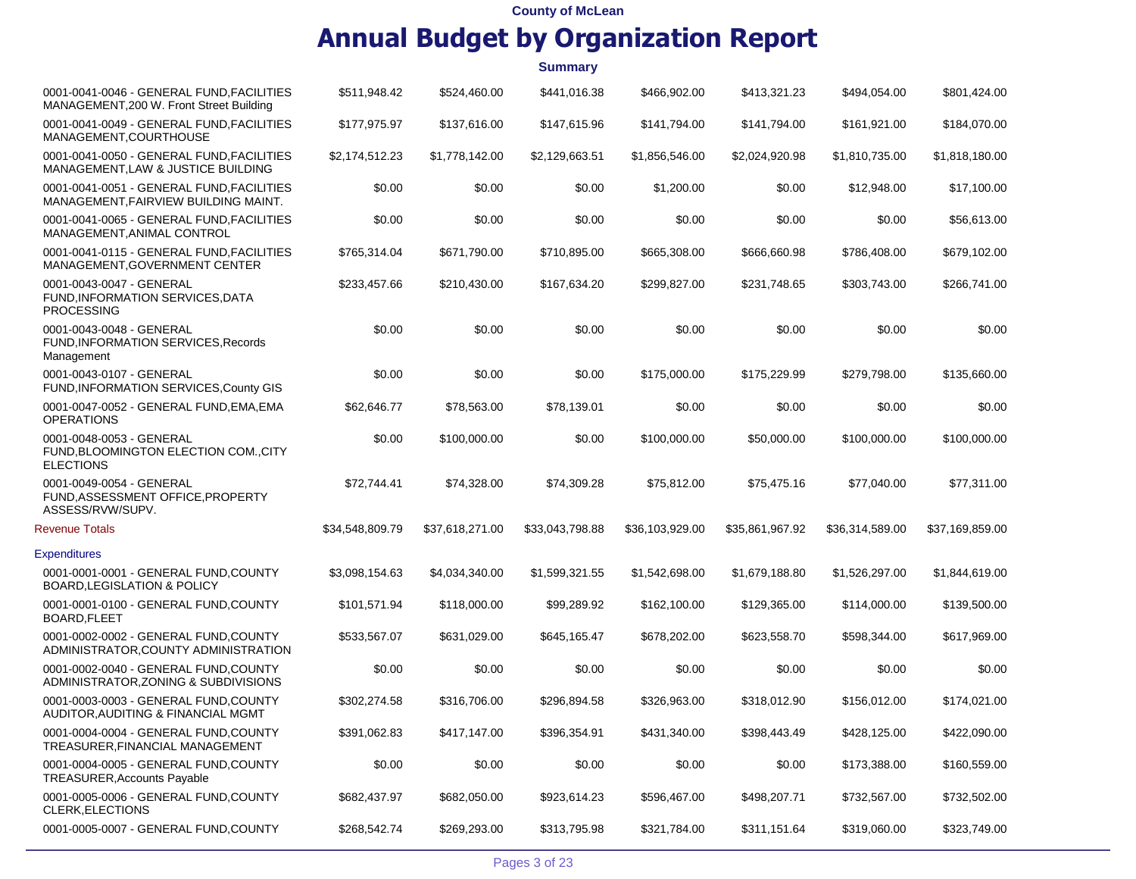|                                                                                       |                 |                 | <b>Summary</b>  |                 |                 |                 |                 |
|---------------------------------------------------------------------------------------|-----------------|-----------------|-----------------|-----------------|-----------------|-----------------|-----------------|
| 0001-0041-0046 - GENERAL FUND FACILITIES<br>MANAGEMENT, 200 W. Front Street Building  | \$511,948.42    | \$524,460.00    | \$441,016.38    | \$466,902.00    | \$413,321.23    | \$494,054.00    | \$801,424.00    |
| 0001-0041-0049 - GENERAL FUND FACILITIES<br>MANAGEMENT, COURTHOUSE                    | \$177,975.97    | \$137,616.00    | \$147,615.96    | \$141,794.00    | \$141,794.00    | \$161,921.00    | \$184,070.00    |
| 0001-0041-0050 - GENERAL FUND, FACILITIES<br>MANAGEMENT, LAW & JUSTICE BUILDING       | \$2,174,512.23  | \$1,778,142.00  | \$2,129,663.51  | \$1,856,546.00  | \$2,024,920.98  | \$1,810,735.00  | \$1,818,180.00  |
| 0001-0041-0051 - GENERAL FUND, FACILITIES<br>MANAGEMENT, FAIRVIEW BUILDING MAINT.     | \$0.00          | \$0.00          | \$0.00          | \$1,200.00      | \$0.00          | \$12,948.00     | \$17,100.00     |
| 0001-0041-0065 - GENERAL FUND, FACILITIES<br>MANAGEMENT, ANIMAL CONTROL               | \$0.00          | \$0.00          | \$0.00          | \$0.00          | \$0.00          | \$0.00          | \$56,613.00     |
| 0001-0041-0115 - GENERAL FUND, FACILITIES<br>MANAGEMENT, GOVERNMENT CENTER            | \$765,314.04    | \$671,790.00    | \$710,895.00    | \$665,308.00    | \$666,660.98    | \$786,408.00    | \$679,102.00    |
| 0001-0043-0047 - GENERAL<br>FUND, INFORMATION SERVICES, DATA<br><b>PROCESSING</b>     | \$233,457.66    | \$210,430.00    | \$167,634.20    | \$299,827.00    | \$231,748.65    | \$303,743.00    | \$266,741.00    |
| 0001-0043-0048 - GENERAL<br>FUND, INFORMATION SERVICES, Records<br>Management         | \$0.00          | \$0.00          | \$0.00          | \$0.00          | \$0.00          | \$0.00          | \$0.00          |
| 0001-0043-0107 - GENERAL<br>FUND, INFORMATION SERVICES, County GIS                    | \$0.00          | \$0.00          | \$0.00          | \$175,000.00    | \$175,229.99    | \$279,798.00    | \$135,660.00    |
| 0001-0047-0052 - GENERAL FUND, EMA, EMA<br><b>OPERATIONS</b>                          | \$62,646.77     | \$78,563.00     | \$78,139.01     | \$0.00          | \$0.00          | \$0.00          | \$0.00          |
| 0001-0048-0053 - GENERAL<br>FUND, BLOOMINGTON ELECTION COM., CITY<br><b>ELECTIONS</b> | \$0.00          | \$100,000.00    | \$0.00          | \$100,000.00    | \$50,000.00     | \$100,000.00    | \$100,000.00    |
| 0001-0049-0054 - GENERAL<br>FUND, ASSESSMENT OFFICE, PROPERTY<br>ASSESS/RVW/SUPV.     | \$72,744.41     | \$74,328.00     | \$74,309.28     | \$75,812.00     | \$75,475.16     | \$77,040.00     | \$77,311.00     |
| Revenue Totals                                                                        | \$34,548,809.79 | \$37,618,271.00 | \$33,043,798.88 | \$36,103,929.00 | \$35,861,967.92 | \$36,314,589.00 | \$37,169,859.00 |
| <b>Expenditures</b>                                                                   |                 |                 |                 |                 |                 |                 |                 |
| 0001-0001-0001 - GENERAL FUND, COUNTY<br><b>BOARD, LEGISLATION &amp; POLICY</b>       | \$3,098,154.63  | \$4,034,340.00  | \$1,599,321.55  | \$1,542,698.00  | \$1,679,188.80  | \$1,526,297.00  | \$1,844,619.00  |
| 0001-0001-0100 - GENERAL FUND, COUNTY<br>BOARD, FLEET                                 | \$101,571.94    | \$118,000.00    | \$99,289.92     | \$162,100.00    | \$129,365.00    | \$114,000.00    | \$139,500.00    |
| 0001-0002-0002 - GENERAL FUND, COUNTY<br>ADMINISTRATOR, COUNTY ADMINISTRATION         | \$533,567.07    | \$631,029.00    | \$645,165.47    | \$678,202.00    | \$623,558.70    | \$598,344.00    | \$617,969.00    |
| 0001-0002-0040 - GENERAL FUND.COUNTY<br>ADMINISTRATOR, ZONING & SUBDIVISIONS          | \$0.00          | \$0.00          | \$0.00          | \$0.00          | \$0.00          | \$0.00          | \$0.00          |
| 0001-0003-0003 - GENERAL FUND, COUNTY<br>AUDITOR, AUDITING & FINANCIAL MGMT           | \$302,274.58    | \$316,706.00    | \$296,894.58    | \$326,963.00    | \$318,012.90    | \$156,012.00    | \$174,021.00    |
| 0001-0004-0004 - GENERAL FUND, COUNTY<br>TREASURER, FINANCIAL MANAGEMENT              | \$391,062.83    | \$417,147.00    | \$396,354.91    | \$431,340.00    | \$398,443.49    | \$428,125.00    | \$422,090.00    |
| 0001-0004-0005 - GENERAL FUND, COUNTY<br><b>TREASURER, Accounts Payable</b>           | \$0.00          | \$0.00          | \$0.00          | \$0.00          | \$0.00          | \$173,388.00    | \$160,559.00    |
| 0001-0005-0006 - GENERAL FUND, COUNTY<br>CLERK, ELECTIONS                             | \$682,437.97    | \$682,050.00    | \$923,614.23    | \$596,467.00    | \$498,207.71    | \$732,567.00    | \$732,502.00    |
| 0001-0005-0007 - GENERAL FUND, COUNTY                                                 | \$268,542.74    | \$269,293.00    | \$313,795.98    | \$321,784.00    | \$311,151.64    | \$319,060.00    | \$323,749.00    |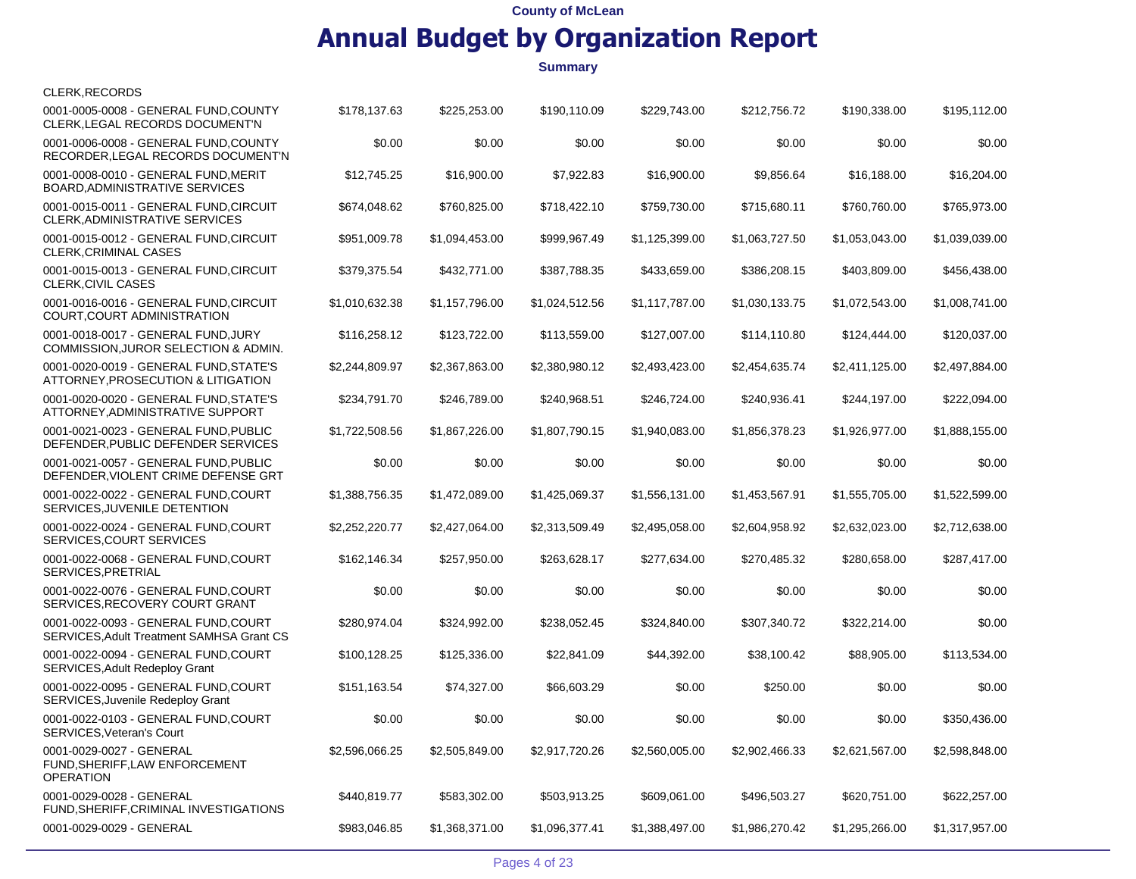### **Annual Budget by Organization Report**

| <b>CLERK, RECORDS</b>                                                             |                |                |                |                |                |                |                |
|-----------------------------------------------------------------------------------|----------------|----------------|----------------|----------------|----------------|----------------|----------------|
| 0001-0005-0008 - GENERAL FUND, COUNTY<br>CLERK, LEGAL RECORDS DOCUMENT'N          | \$178,137.63   | \$225,253.00   | \$190,110.09   | \$229,743.00   | \$212,756.72   | \$190,338.00   | \$195,112.00   |
| 0001-0006-0008 - GENERAL FUND, COUNTY<br>RECORDER, LEGAL RECORDS DOCUMENT'N       | \$0.00         | \$0.00         | \$0.00         | \$0.00         | \$0.00         | \$0.00         | \$0.00         |
| 0001-0008-0010 - GENERAL FUND, MERIT<br>BOARD, ADMINISTRATIVE SERVICES            | \$12,745.25    | \$16,900.00    | \$7,922.83     | \$16,900.00    | \$9.856.64     | \$16,188.00    | \$16,204.00    |
| 0001-0015-0011 - GENERAL FUND, CIRCUIT<br>CLERK, ADMINISTRATIVE SERVICES          | \$674,048.62   | \$760,825.00   | \$718,422.10   | \$759,730.00   | \$715,680.11   | \$760,760.00   | \$765,973.00   |
| 0001-0015-0012 - GENERAL FUND, CIRCUIT<br>CLERK, CRIMINAL CASES                   | \$951,009.78   | \$1,094,453.00 | \$999,967.49   | \$1,125,399.00 | \$1,063,727.50 | \$1,053,043.00 | \$1,039,039.00 |
| 0001-0015-0013 - GENERAL FUND, CIRCUIT<br>CLERK, CIVIL CASES                      | \$379,375.54   | \$432,771.00   | \$387,788.35   | \$433,659.00   | \$386,208.15   | \$403,809.00   | \$456,438.00   |
| 0001-0016-0016 - GENERAL FUND, CIRCUIT<br>COURT, COURT ADMINISTRATION             | \$1,010,632.38 | \$1,157,796.00 | \$1,024,512.56 | \$1,117,787.00 | \$1,030,133.75 | \$1,072,543.00 | \$1,008,741.00 |
| 0001-0018-0017 - GENERAL FUND, JURY<br>COMMISSION, JUROR SELECTION & ADMIN.       | \$116,258.12   | \$123,722.00   | \$113,559.00   | \$127,007.00   | \$114,110.80   | \$124,444.00   | \$120,037.00   |
| 0001-0020-0019 - GENERAL FUND, STATE'S<br>ATTORNEY, PROSECUTION & LITIGATION      | \$2,244,809.97 | \$2,367,863.00 | \$2,380,980.12 | \$2,493,423.00 | \$2,454,635.74 | \$2,411,125.00 | \$2,497,884.00 |
| 0001-0020-0020 - GENERAL FUND, STATE'S<br>ATTORNEY, ADMINISTRATIVE SUPPORT        | \$234,791.70   | \$246,789.00   | \$240,968.51   | \$246,724.00   | \$240,936.41   | \$244,197.00   | \$222,094.00   |
| 0001-0021-0023 - GENERAL FUND.PUBLIC<br>DEFENDER, PUBLIC DEFENDER SERVICES        | \$1,722,508.56 | \$1,867,226.00 | \$1,807,790.15 | \$1,940,083.00 | \$1,856,378.23 | \$1,926,977.00 | \$1,888,155.00 |
| 0001-0021-0057 - GENERAL FUND, PUBLIC<br>DEFENDER, VIOLENT CRIME DEFENSE GRT      | \$0.00         | \$0.00         | \$0.00         | \$0.00         | \$0.00         | \$0.00         | \$0.00         |
| 0001-0022-0022 - GENERAL FUND, COURT<br>SERVICES, JUVENILE DETENTION              | \$1,388,756.35 | \$1,472,089.00 | \$1,425,069.37 | \$1,556,131.00 | \$1,453,567.91 | \$1,555,705.00 | \$1,522,599.00 |
| 0001-0022-0024 - GENERAL FUND, COURT<br>SERVICES, COURT SERVICES                  | \$2,252,220.77 | \$2,427,064.00 | \$2,313,509.49 | \$2,495,058.00 | \$2,604,958.92 | \$2,632,023.00 | \$2,712,638.00 |
| 0001-0022-0068 - GENERAL FUND, COURT<br>SERVICES, PRETRIAL                        | \$162,146.34   | \$257,950.00   | \$263,628.17   | \$277,634.00   | \$270,485.32   | \$280,658.00   | \$287,417.00   |
| 0001-0022-0076 - GENERAL FUND, COURT<br>SERVICES, RECOVERY COURT GRANT            | \$0.00         | \$0.00         | \$0.00         | \$0.00         | \$0.00         | \$0.00         | \$0.00         |
| 0001-0022-0093 - GENERAL FUND, COURT<br>SERVICES, Adult Treatment SAMHSA Grant CS | \$280,974.04   | \$324,992.00   | \$238,052.45   | \$324,840.00   | \$307,340.72   | \$322,214.00   | \$0.00         |
| 0001-0022-0094 - GENERAL FUND, COURT<br>SERVICES, Adult Redeploy Grant            | \$100,128.25   | \$125,336.00   | \$22,841.09    | \$44,392.00    | \$38,100.42    | \$88,905.00    | \$113,534.00   |
| 0001-0022-0095 - GENERAL FUND.COURT<br>SERVICES, Juvenile Redeploy Grant          | \$151,163.54   | \$74,327.00    | \$66,603.29    | \$0.00         | \$250.00       | \$0.00         | \$0.00         |
| 0001-0022-0103 - GENERAL FUND, COURT<br>SERVICES, Veteran's Court                 | \$0.00         | \$0.00         | \$0.00         | \$0.00         | \$0.00         | \$0.00         | \$350,436.00   |
| 0001-0029-0027 - GENERAL<br>FUND, SHERIFF, LAW ENFORCEMENT<br><b>OPERATION</b>    | \$2,596,066.25 | \$2,505,849.00 | \$2,917,720.26 | \$2,560,005.00 | \$2,902,466.33 | \$2,621,567.00 | \$2,598,848.00 |
| 0001-0029-0028 - GENERAL<br>FUND, SHERIFF, CRIMINAL INVESTIGATIONS                | \$440,819.77   | \$583,302.00   | \$503,913.25   | \$609,061.00   | \$496,503.27   | \$620,751.00   | \$622,257.00   |
| 0001-0029-0029 - GENERAL                                                          | \$983,046.85   | \$1,368,371.00 | \$1,096,377.41 | \$1,388,497.00 | \$1,986,270.42 | \$1,295,266.00 | \$1,317,957.00 |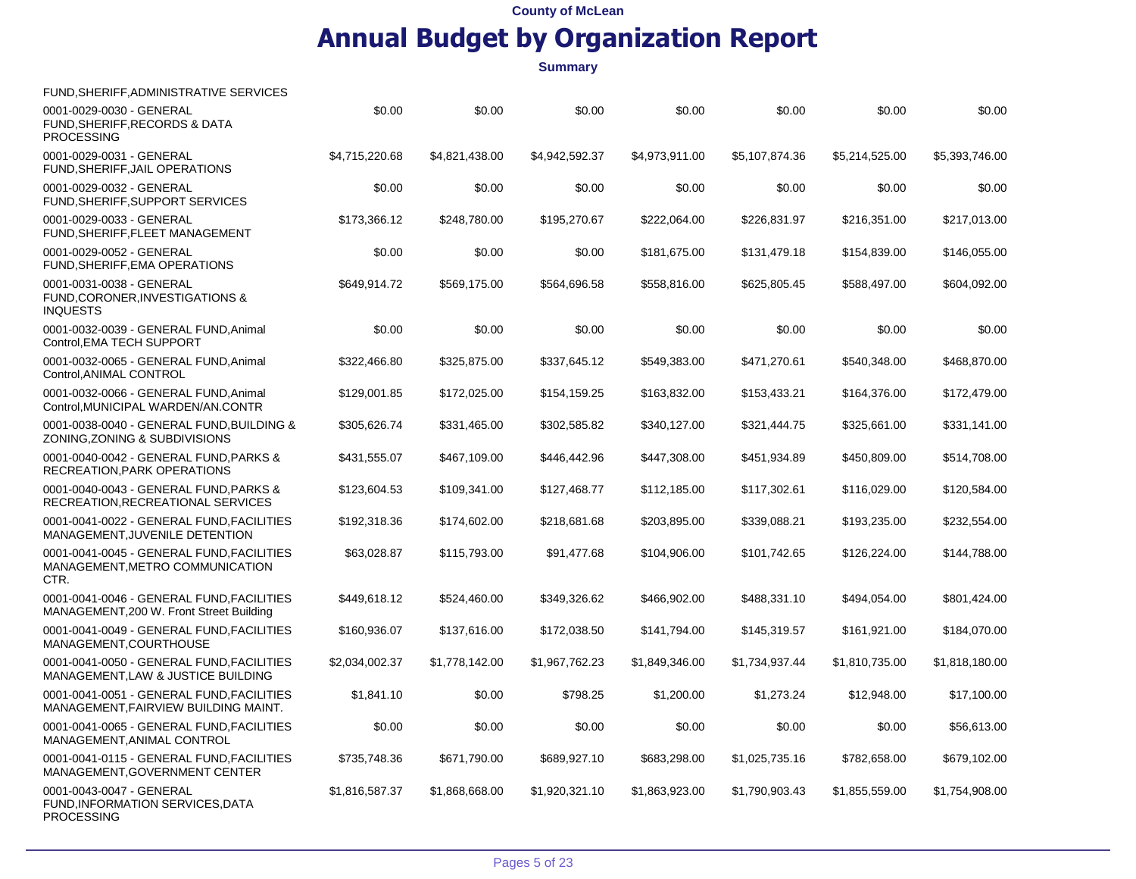### **Annual Budget by Organization Report**

| FUND, SHERIFF, ADMINISTRATIVE SERVICES                                                |                |                |                |                |                |                |                |
|---------------------------------------------------------------------------------------|----------------|----------------|----------------|----------------|----------------|----------------|----------------|
| 0001-0029-0030 - GENERAL<br>FUND, SHERIFF, RECORDS & DATA<br><b>PROCESSING</b>        | \$0.00         | \$0.00         | \$0.00         | \$0.00         | \$0.00         | \$0.00         | \$0.00         |
| 0001-0029-0031 - GENERAL<br>FUND, SHERIFF, JAIL OPERATIONS                            | \$4,715,220.68 | \$4,821,438.00 | \$4,942,592.37 | \$4,973,911.00 | \$5,107,874.36 | \$5,214,525.00 | \$5,393,746.00 |
| 0001-0029-0032 - GENERAL<br>FUND, SHERIFF, SUPPORT SERVICES                           | \$0.00         | \$0.00         | \$0.00         | \$0.00         | \$0.00         | \$0.00         | \$0.00         |
| 0001-0029-0033 - GENERAL<br>FUND, SHERIFF, FLEET MANAGEMENT                           | \$173,366.12   | \$248,780.00   | \$195,270.67   | \$222,064.00   | \$226,831.97   | \$216,351.00   | \$217,013.00   |
| 0001-0029-0052 - GENERAL<br>FUND, SHERIFF, EMA OPERATIONS                             | \$0.00         | \$0.00         | \$0.00         | \$181,675.00   | \$131,479.18   | \$154,839.00   | \$146,055.00   |
| 0001-0031-0038 - GENERAL<br>FUND, CORONER, INVESTIGATIONS &<br><b>INQUESTS</b>        | \$649,914.72   | \$569,175.00   | \$564,696.58   | \$558,816.00   | \$625,805.45   | \$588,497.00   | \$604,092.00   |
| 0001-0032-0039 - GENERAL FUND, Animal<br>Control, EMA TECH SUPPORT                    | \$0.00         | \$0.00         | \$0.00         | \$0.00         | \$0.00         | \$0.00         | \$0.00         |
| 0001-0032-0065 - GENERAL FUND, Animal<br>Control, ANIMAL CONTROL                      | \$322,466.80   | \$325,875.00   | \$337,645.12   | \$549,383.00   | \$471,270.61   | \$540,348.00   | \$468,870.00   |
| 0001-0032-0066 - GENERAL FUND, Animal<br>Control, MUNICIPAL WARDEN/AN.CONTR           | \$129,001.85   | \$172,025.00   | \$154,159.25   | \$163,832.00   | \$153,433.21   | \$164,376.00   | \$172,479.00   |
| 0001-0038-0040 - GENERAL FUND, BUILDING &<br>ZONING, ZONING & SUBDIVISIONS            | \$305,626.74   | \$331,465.00   | \$302,585.82   | \$340,127.00   | \$321,444.75   | \$325,661.00   | \$331,141.00   |
| 0001-0040-0042 - GENERAL FUND, PARKS &<br>RECREATION, PARK OPERATIONS                 | \$431,555.07   | \$467,109.00   | \$446,442.96   | \$447,308.00   | \$451,934.89   | \$450,809.00   | \$514,708.00   |
| 0001-0040-0043 - GENERAL FUND, PARKS &<br>RECREATION, RECREATIONAL SERVICES           | \$123,604.53   | \$109,341.00   | \$127,468.77   | \$112,185.00   | \$117,302.61   | \$116,029.00   | \$120,584.00   |
| 0001-0041-0022 - GENERAL FUND, FACILITIES<br>MANAGEMENT, JUVENILE DETENTION           | \$192,318.36   | \$174,602.00   | \$218,681.68   | \$203,895.00   | \$339,088.21   | \$193,235.00   | \$232,554.00   |
| 0001-0041-0045 - GENERAL FUND FACILITIES<br>MANAGEMENT, METRO COMMUNICATION<br>CTR.   | \$63,028.87    | \$115,793.00   | \$91,477.68    | \$104,906.00   | \$101,742.65   | \$126,224.00   | \$144,788.00   |
| 0001-0041-0046 - GENERAL FUND, FACILITIES<br>MANAGEMENT, 200 W. Front Street Building | \$449,618.12   | \$524,460.00   | \$349,326.62   | \$466,902.00   | \$488,331.10   | \$494,054.00   | \$801,424.00   |
| 0001-0041-0049 - GENERAL FUND, FACILITIES<br>MANAGEMENT, COURTHOUSE                   | \$160,936.07   | \$137,616.00   | \$172,038.50   | \$141,794.00   | \$145,319.57   | \$161,921.00   | \$184,070.00   |
| 0001-0041-0050 - GENERAL FUND, FACILITIES<br>MANAGEMENT, LAW & JUSTICE BUILDING       | \$2,034,002.37 | \$1,778,142.00 | \$1,967,762.23 | \$1,849,346.00 | \$1,734,937.44 | \$1,810,735.00 | \$1,818,180.00 |
| 0001-0041-0051 - GENERAL FUND, FACILITIES<br>MANAGEMENT, FAIRVIEW BUILDING MAINT.     | \$1,841.10     | \$0.00         | \$798.25       | \$1,200.00     | \$1,273.24     | \$12,948.00    | \$17,100.00    |
| 0001-0041-0065 - GENERAL FUND, FACILITIES<br>MANAGEMENT, ANIMAL CONTROL               | \$0.00         | \$0.00         | \$0.00         | \$0.00         | \$0.00         | \$0.00         | \$56,613.00    |
| 0001-0041-0115 - GENERAL FUND, FACILITIES<br>MANAGEMENT, GOVERNMENT CENTER            | \$735,748.36   | \$671,790.00   | \$689,927.10   | \$683,298.00   | \$1,025,735.16 | \$782,658.00   | \$679,102.00   |
| 0001-0043-0047 - GENERAL<br>FUND, INFORMATION SERVICES, DATA<br>PROCESSING            | \$1,816,587.37 | \$1,868,668.00 | \$1,920,321.10 | \$1,863,923.00 | \$1,790,903.43 | \$1,855,559.00 | \$1,754,908.00 |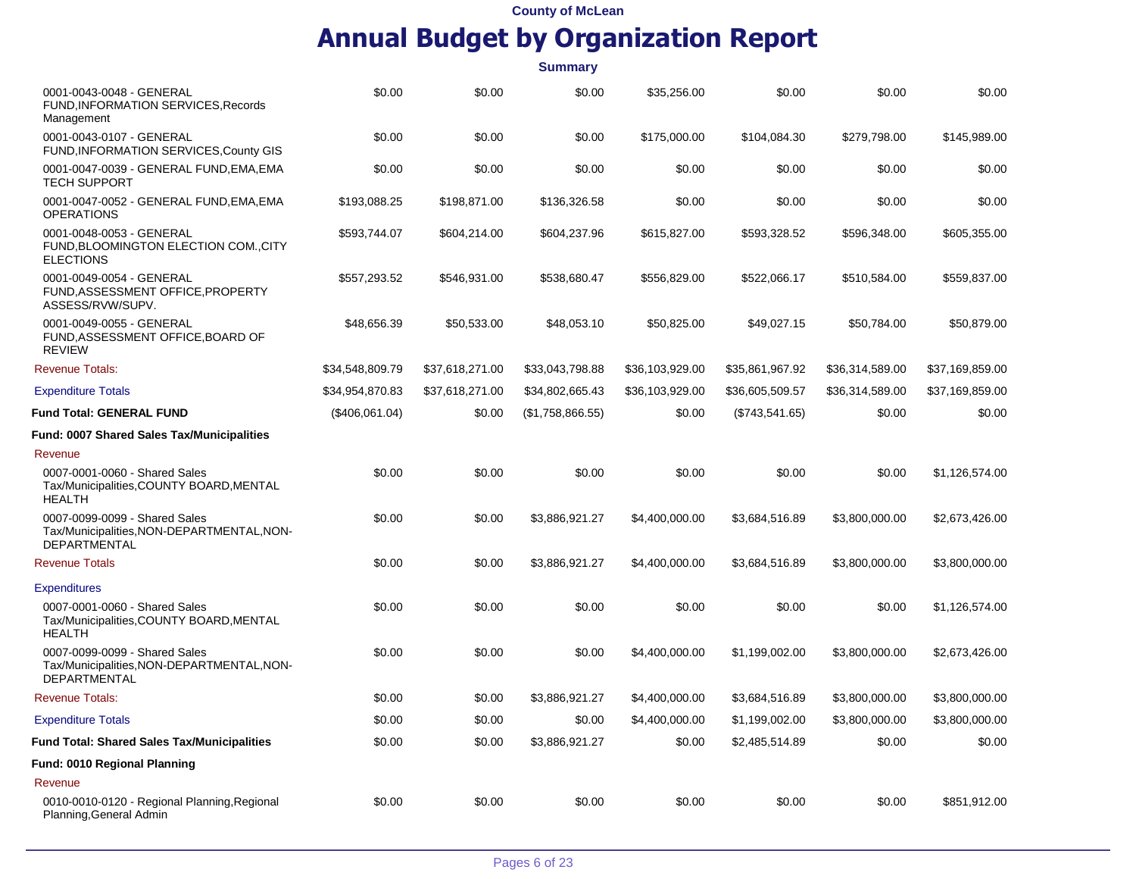|                                                                                                    |                 |                 | <b>Summary</b>   |                 |                 |                 |                 |
|----------------------------------------------------------------------------------------------------|-----------------|-----------------|------------------|-----------------|-----------------|-----------------|-----------------|
| 0001-0043-0048 - GENERAL<br>FUND, INFORMATION SERVICES, Records<br>Management                      | \$0.00          | \$0.00          | \$0.00           | \$35,256.00     | \$0.00          | \$0.00          | \$0.00          |
| 0001-0043-0107 - GENERAL<br>FUND, INFORMATION SERVICES, County GIS                                 | \$0.00          | \$0.00          | \$0.00           | \$175,000.00    | \$104,084.30    | \$279,798.00    | \$145,989.00    |
| 0001-0047-0039 - GENERAL FUND, EMA, EMA<br><b>TECH SUPPORT</b>                                     | \$0.00          | \$0.00          | \$0.00           | \$0.00          | \$0.00          | \$0.00          | \$0.00          |
| 0001-0047-0052 - GENERAL FUND, EMA, EMA<br><b>OPERATIONS</b>                                       | \$193,088.25    | \$198,871.00    | \$136,326.58     | \$0.00          | \$0.00          | \$0.00          | \$0.00          |
| 0001-0048-0053 - GENERAL<br>FUND, BLOOMINGTON ELECTION COM., CITY<br><b>ELECTIONS</b>              | \$593,744.07    | \$604,214.00    | \$604,237.96     | \$615,827.00    | \$593,328.52    | \$596,348.00    | \$605,355.00    |
| 0001-0049-0054 - GENERAL<br>FUND, ASSESSMENT OFFICE, PROPERTY<br>ASSESS/RVW/SUPV.                  | \$557,293.52    | \$546,931.00    | \$538,680.47     | \$556,829.00    | \$522,066.17    | \$510,584.00    | \$559,837.00    |
| 0001-0049-0055 - GENERAL<br>FUND, ASSESSMENT OFFICE, BOARD OF<br><b>REVIEW</b>                     | \$48,656.39     | \$50,533.00     | \$48,053.10      | \$50,825.00     | \$49,027.15     | \$50,784.00     | \$50,879.00     |
| <b>Revenue Totals:</b>                                                                             | \$34,548,809.79 | \$37,618,271.00 | \$33,043,798.88  | \$36,103,929.00 | \$35,861,967.92 | \$36,314,589.00 | \$37,169,859.00 |
| <b>Expenditure Totals</b>                                                                          | \$34,954,870.83 | \$37,618,271.00 | \$34,802,665.43  | \$36,103,929.00 | \$36,605,509.57 | \$36,314,589.00 | \$37,169,859.00 |
| Fund Total: GENERAL FUND                                                                           | (\$406,061.04)  | \$0.00          | (\$1,758,866.55) | \$0.00          | (\$743,541.65)  | \$0.00          | \$0.00          |
| Fund: 0007 Shared Sales Tax/Municipalities                                                         |                 |                 |                  |                 |                 |                 |                 |
| Revenue                                                                                            |                 |                 |                  |                 |                 |                 |                 |
| 0007-0001-0060 - Shared Sales<br>Tax/Municipalities, COUNTY BOARD, MENTAL<br><b>HEALTH</b>         | \$0.00          | \$0.00          | \$0.00           | \$0.00          | \$0.00          | \$0.00          | \$1,126,574.00  |
| 0007-0099-0099 - Shared Sales<br>Tax/Municipalities, NON-DEPARTMENTAL, NON-<br><b>DEPARTMENTAL</b> | \$0.00          | \$0.00          | \$3,886,921.27   | \$4,400,000.00  | \$3,684,516.89  | \$3,800,000.00  | \$2,673,426.00  |
| <b>Revenue Totals</b>                                                                              | \$0.00          | \$0.00          | \$3,886,921.27   | \$4,400,000.00  | \$3,684,516.89  | \$3,800,000.00  | \$3,800,000.00  |
| <b>Expenditures</b>                                                                                |                 |                 |                  |                 |                 |                 |                 |
| 0007-0001-0060 - Shared Sales<br>Tax/Municipalities, COUNTY BOARD, MENTAL<br><b>HEALTH</b>         | \$0.00          | \$0.00          | \$0.00           | \$0.00          | \$0.00          | \$0.00          | \$1,126,574.00  |
| 0007-0099-0099 - Shared Sales<br>Tax/Municipalities, NON-DEPARTMENTAL, NON-<br><b>DEPARTMENTAL</b> | \$0.00          | \$0.00          | \$0.00           | \$4,400,000.00  | \$1,199,002.00  | \$3,800,000.00  | \$2,673,426.00  |
| <b>Revenue Totals:</b>                                                                             | \$0.00          | \$0.00          | \$3.886.921.27   | \$4,400,000.00  | \$3,684,516.89  | \$3,800,000.00  | \$3,800,000.00  |
| <b>Expenditure Totals</b>                                                                          | \$0.00          | \$0.00          | \$0.00           | \$4,400,000.00  | \$1,199,002.00  | \$3,800,000.00  | \$3,800,000.00  |
| <b>Fund Total: Shared Sales Tax/Municipalities</b>                                                 | \$0.00          | \$0.00          | \$3,886,921.27   | \$0.00          | \$2,485,514.89  | \$0.00          | \$0.00          |
| Fund: 0010 Regional Planning                                                                       |                 |                 |                  |                 |                 |                 |                 |
| Revenue                                                                                            |                 |                 |                  |                 |                 |                 |                 |
| 0010-0010-0120 - Regional Planning, Regional<br>Planning, General Admin                            | \$0.00          | \$0.00          | \$0.00           | \$0.00          | \$0.00          | \$0.00          | \$851,912.00    |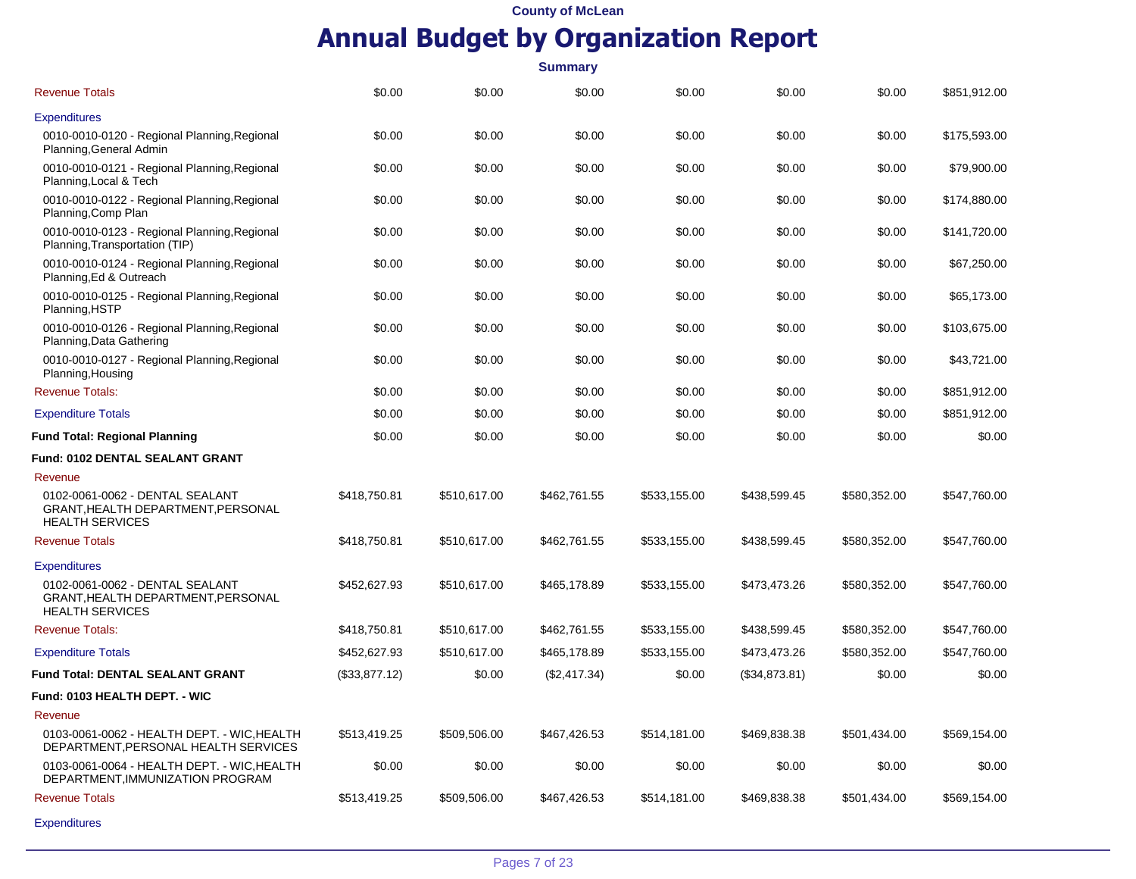| <b>Summary</b>                                                                                  |               |              |              |              |               |              |              |  |  |  |  |
|-------------------------------------------------------------------------------------------------|---------------|--------------|--------------|--------------|---------------|--------------|--------------|--|--|--|--|
| <b>Revenue Totals</b>                                                                           | \$0.00        | \$0.00       | \$0.00       | \$0.00       | \$0.00        | \$0.00       | \$851,912.00 |  |  |  |  |
| <b>Expenditures</b>                                                                             |               |              |              |              |               |              |              |  |  |  |  |
| 0010-0010-0120 - Regional Planning, Regional<br>Planning, General Admin                         | \$0.00        | \$0.00       | \$0.00       | \$0.00       | \$0.00        | \$0.00       | \$175,593.00 |  |  |  |  |
| 0010-0010-0121 - Regional Planning, Regional<br>Planning, Local & Tech                          | \$0.00        | \$0.00       | \$0.00       | \$0.00       | \$0.00        | \$0.00       | \$79,900.00  |  |  |  |  |
| 0010-0010-0122 - Regional Planning, Regional<br>Planning, Comp Plan                             | \$0.00        | \$0.00       | \$0.00       | \$0.00       | \$0.00        | \$0.00       | \$174,880.00 |  |  |  |  |
| 0010-0010-0123 - Regional Planning, Regional<br>Planning, Transportation (TIP)                  | \$0.00        | \$0.00       | \$0.00       | \$0.00       | \$0.00        | \$0.00       | \$141,720.00 |  |  |  |  |
| 0010-0010-0124 - Regional Planning, Regional<br>Planning, Ed & Outreach                         | \$0.00        | \$0.00       | \$0.00       | \$0.00       | \$0.00        | \$0.00       | \$67,250.00  |  |  |  |  |
| 0010-0010-0125 - Regional Planning, Regional<br>Planning, HSTP                                  | \$0.00        | \$0.00       | \$0.00       | \$0.00       | \$0.00        | \$0.00       | \$65,173.00  |  |  |  |  |
| 0010-0010-0126 - Regional Planning, Regional<br>Planning, Data Gathering                        | \$0.00        | \$0.00       | \$0.00       | \$0.00       | \$0.00        | \$0.00       | \$103,675.00 |  |  |  |  |
| 0010-0010-0127 - Regional Planning, Regional<br>Planning, Housing                               | \$0.00        | \$0.00       | \$0.00       | \$0.00       | \$0.00        | \$0.00       | \$43.721.00  |  |  |  |  |
| <b>Revenue Totals:</b>                                                                          | \$0.00        | \$0.00       | \$0.00       | \$0.00       | \$0.00        | \$0.00       | \$851,912.00 |  |  |  |  |
| <b>Expenditure Totals</b>                                                                       | \$0.00        | \$0.00       | \$0.00       | \$0.00       | \$0.00        | \$0.00       | \$851,912.00 |  |  |  |  |
| <b>Fund Total: Regional Planning</b>                                                            | \$0.00        | \$0.00       | \$0.00       | \$0.00       | \$0.00        | \$0.00       | \$0.00       |  |  |  |  |
| <b>Fund: 0102 DENTAL SEALANT GRANT</b>                                                          |               |              |              |              |               |              |              |  |  |  |  |
| Revenue                                                                                         |               |              |              |              |               |              |              |  |  |  |  |
| 0102-0061-0062 - DENTAL SEALANT<br>GRANT, HEALTH DEPARTMENT, PERSONAL<br><b>HEALTH SERVICES</b> | \$418,750.81  | \$510,617.00 | \$462,761.55 | \$533,155.00 | \$438,599.45  | \$580,352.00 | \$547,760.00 |  |  |  |  |
| <b>Revenue Totals</b>                                                                           | \$418,750.81  | \$510,617.00 | \$462,761.55 | \$533,155.00 | \$438,599.45  | \$580,352.00 | \$547,760.00 |  |  |  |  |
| <b>Expenditures</b>                                                                             |               |              |              |              |               |              |              |  |  |  |  |
| 0102-0061-0062 - DENTAL SEALANT<br>GRANT, HEALTH DEPARTMENT, PERSONAL<br><b>HEALTH SERVICES</b> | \$452,627.93  | \$510,617.00 | \$465,178.89 | \$533,155.00 | \$473,473.26  | \$580,352.00 | \$547,760.00 |  |  |  |  |
| <b>Revenue Totals:</b>                                                                          | \$418,750.81  | \$510,617.00 | \$462,761.55 | \$533,155.00 | \$438,599.45  | \$580,352.00 | \$547,760.00 |  |  |  |  |
| <b>Expenditure Totals</b>                                                                       | \$452,627.93  | \$510,617.00 | \$465,178.89 | \$533,155.00 | \$473,473.26  | \$580,352.00 | \$547,760.00 |  |  |  |  |
| Fund Total: DENTAL SEALANT GRANT                                                                | (\$33,877.12) | \$0.00       | (\$2,417.34) | \$0.00       | (\$34,873.81) | \$0.00       | \$0.00       |  |  |  |  |
| Fund: 0103 HEALTH DEPT. - WIC                                                                   |               |              |              |              |               |              |              |  |  |  |  |
| Revenue                                                                                         |               |              |              |              |               |              |              |  |  |  |  |
| 0103-0061-0062 - HEALTH DEPT. - WIC, HEALTH<br>DEPARTMENT, PERSONAL HEALTH SERVICES             | \$513,419.25  | \$509,506.00 | \$467,426.53 | \$514,181.00 | \$469,838.38  | \$501,434.00 | \$569,154.00 |  |  |  |  |
| 0103-0061-0064 - HEALTH DEPT. - WIC, HEALTH<br>DEPARTMENT, IMMUNIZATION PROGRAM                 | \$0.00        | \$0.00       | \$0.00       | \$0.00       | \$0.00        | \$0.00       | \$0.00       |  |  |  |  |
| <b>Revenue Totals</b>                                                                           | \$513,419.25  | \$509,506.00 | \$467,426.53 | \$514,181.00 | \$469,838.38  | \$501,434.00 | \$569,154.00 |  |  |  |  |
| <b>Expenditures</b>                                                                             |               |              |              |              |               |              |              |  |  |  |  |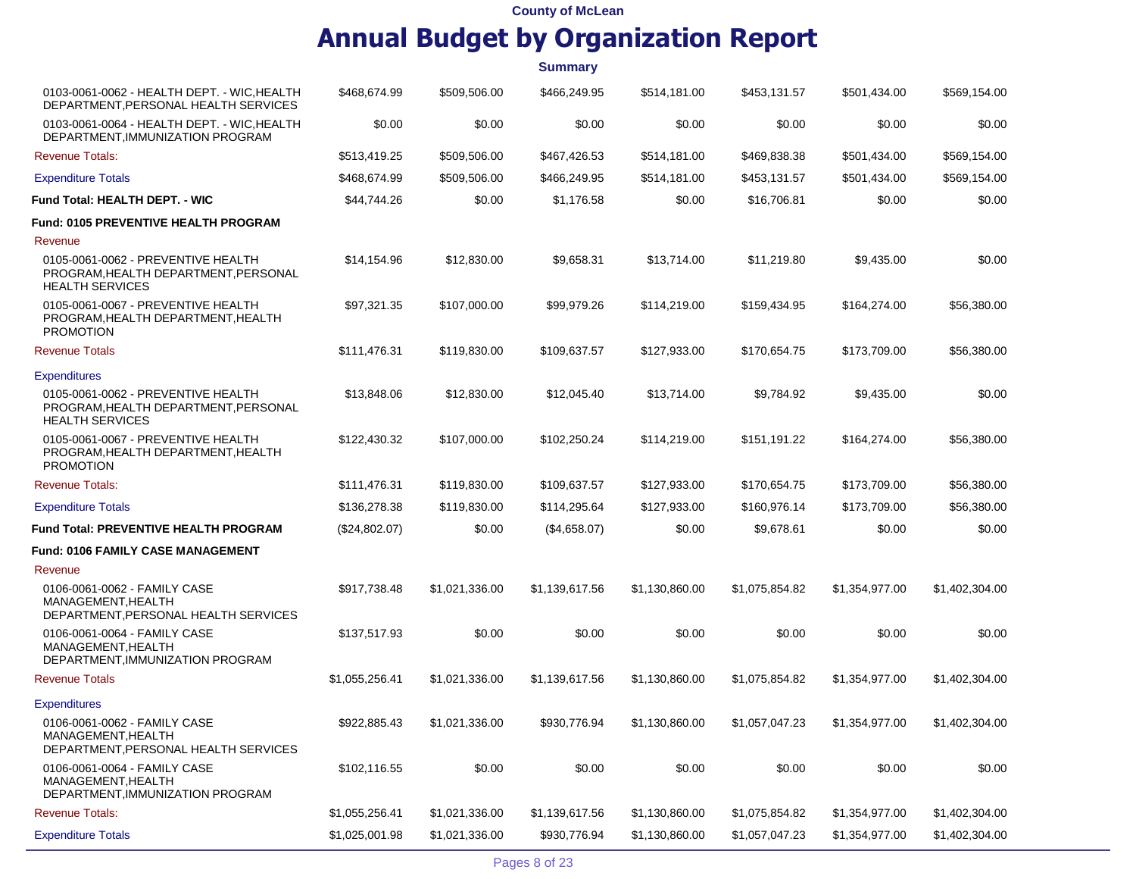|                                                                                                      |                |                | <b>Summary</b> |                |                |                |                |
|------------------------------------------------------------------------------------------------------|----------------|----------------|----------------|----------------|----------------|----------------|----------------|
| 0103-0061-0062 - HEALTH DEPT. - WIC, HEALTH<br>DEPARTMENT, PERSONAL HEALTH SERVICES                  | \$468,674.99   | \$509,506.00   | \$466,249.95   | \$514,181.00   | \$453,131.57   | \$501,434.00   | \$569,154.00   |
| 0103-0061-0064 - HEALTH DEPT. - WIC, HEALTH<br>DEPARTMENT, IMMUNIZATION PROGRAM                      | \$0.00         | \$0.00         | \$0.00         | \$0.00         | \$0.00         | \$0.00         | \$0.00         |
| <b>Revenue Totals:</b>                                                                               | \$513,419.25   | \$509,506.00   | \$467,426.53   | \$514,181.00   | \$469,838.38   | \$501,434.00   | \$569,154.00   |
| <b>Expenditure Totals</b>                                                                            | \$468,674.99   | \$509,506.00   | \$466,249.95   | \$514,181.00   | \$453,131.57   | \$501,434.00   | \$569,154.00   |
| Fund Total: HEALTH DEPT. - WIC                                                                       | \$44,744.26    | \$0.00         | \$1,176.58     | \$0.00         | \$16,706.81    | \$0.00         | \$0.00         |
| Fund: 0105 PREVENTIVE HEALTH PROGRAM                                                                 |                |                |                |                |                |                |                |
| Revenue                                                                                              |                |                |                |                |                |                |                |
| 0105-0061-0062 - PREVENTIVE HEALTH<br>PROGRAM, HEALTH DEPARTMENT, PERSONAL<br><b>HEALTH SERVICES</b> | \$14,154.96    | \$12,830.00    | \$9,658.31     | \$13,714.00    | \$11,219.80    | \$9,435.00     | \$0.00         |
| 0105-0061-0067 - PREVENTIVE HEALTH<br>PROGRAM, HEALTH DEPARTMENT, HEALTH<br><b>PROMOTION</b>         | \$97,321.35    | \$107,000.00   | \$99,979.26    | \$114,219.00   | \$159,434.95   | \$164,274.00   | \$56,380.00    |
| <b>Revenue Totals</b>                                                                                | \$111,476.31   | \$119,830.00   | \$109,637.57   | \$127,933.00   | \$170,654.75   | \$173,709.00   | \$56,380.00    |
| <b>Expenditures</b>                                                                                  |                |                |                |                |                |                |                |
| 0105-0061-0062 - PREVENTIVE HEALTH<br>PROGRAM, HEALTH DEPARTMENT, PERSONAL<br><b>HEALTH SERVICES</b> | \$13,848.06    | \$12,830.00    | \$12,045.40    | \$13,714.00    | \$9,784.92     | \$9,435.00     | \$0.00         |
| 0105-0061-0067 - PREVENTIVE HEALTH<br>PROGRAM, HEALTH DEPARTMENT, HEALTH<br><b>PROMOTION</b>         | \$122,430.32   | \$107,000.00   | \$102,250.24   | \$114,219.00   | \$151,191.22   | \$164,274.00   | \$56,380.00    |
| <b>Revenue Totals:</b>                                                                               | \$111,476.31   | \$119,830.00   | \$109,637.57   | \$127,933.00   | \$170,654.75   | \$173,709.00   | \$56,380.00    |
| <b>Expenditure Totals</b>                                                                            | \$136,278.38   | \$119,830.00   | \$114,295.64   | \$127,933.00   | \$160,976.14   | \$173,709.00   | \$56,380.00    |
| Fund Total: PREVENTIVE HEALTH PROGRAM                                                                | (\$24,802.07)  | \$0.00         | (\$4,658.07)   | \$0.00         | \$9,678.61     | \$0.00         | \$0.00         |
| Fund: 0106 FAMILY CASE MANAGEMENT                                                                    |                |                |                |                |                |                |                |
| Revenue                                                                                              |                |                |                |                |                |                |                |
| 0106-0061-0062 - FAMILY CASE<br>MANAGEMENT, HEALTH<br>DEPARTMENT, PERSONAL HEALTH SERVICES           | \$917,738.48   | \$1,021,336.00 | \$1,139,617.56 | \$1,130,860.00 | \$1,075,854.82 | \$1,354,977.00 | \$1,402,304.00 |
| 0106-0061-0064 - FAMILY CASE<br>MANAGEMENT, HEALTH<br>DEPARTMENT, IMMUNIZATION PROGRAM               | \$137,517.93   | \$0.00         | \$0.00         | \$0.00         | \$0.00         | \$0.00         | \$0.00         |
| <b>Revenue Totals</b>                                                                                | \$1,055,256.41 | \$1,021,336.00 | \$1,139,617.56 | \$1,130,860.00 | \$1.075.854.82 | \$1,354,977.00 | \$1,402,304.00 |
| <b>Expenditures</b>                                                                                  |                |                |                |                |                |                |                |
| 0106-0061-0062 - FAMILY CASE<br>MANAGEMENT, HEALTH<br>DEPARTMENT, PERSONAL HEALTH SERVICES           | \$922,885.43   | \$1,021,336.00 | \$930,776.94   | \$1,130,860.00 | \$1,057,047.23 | \$1,354,977.00 | \$1,402,304.00 |
| 0106-0061-0064 - FAMILY CASE<br>MANAGEMENT, HEALTH<br>DEPARTMENT, IMMUNIZATION PROGRAM               | \$102,116.55   | \$0.00         | \$0.00         | \$0.00         | \$0.00         | \$0.00         | \$0.00         |
| <b>Revenue Totals:</b>                                                                               | \$1,055,256.41 | \$1,021,336.00 | \$1,139,617.56 | \$1,130,860.00 | \$1,075,854.82 | \$1,354,977.00 | \$1,402,304.00 |
| <b>Expenditure Totals</b>                                                                            | \$1,025,001.98 | \$1,021,336.00 | \$930,776.94   | \$1,130,860.00 | \$1,057,047.23 | \$1,354,977.00 | \$1,402,304.00 |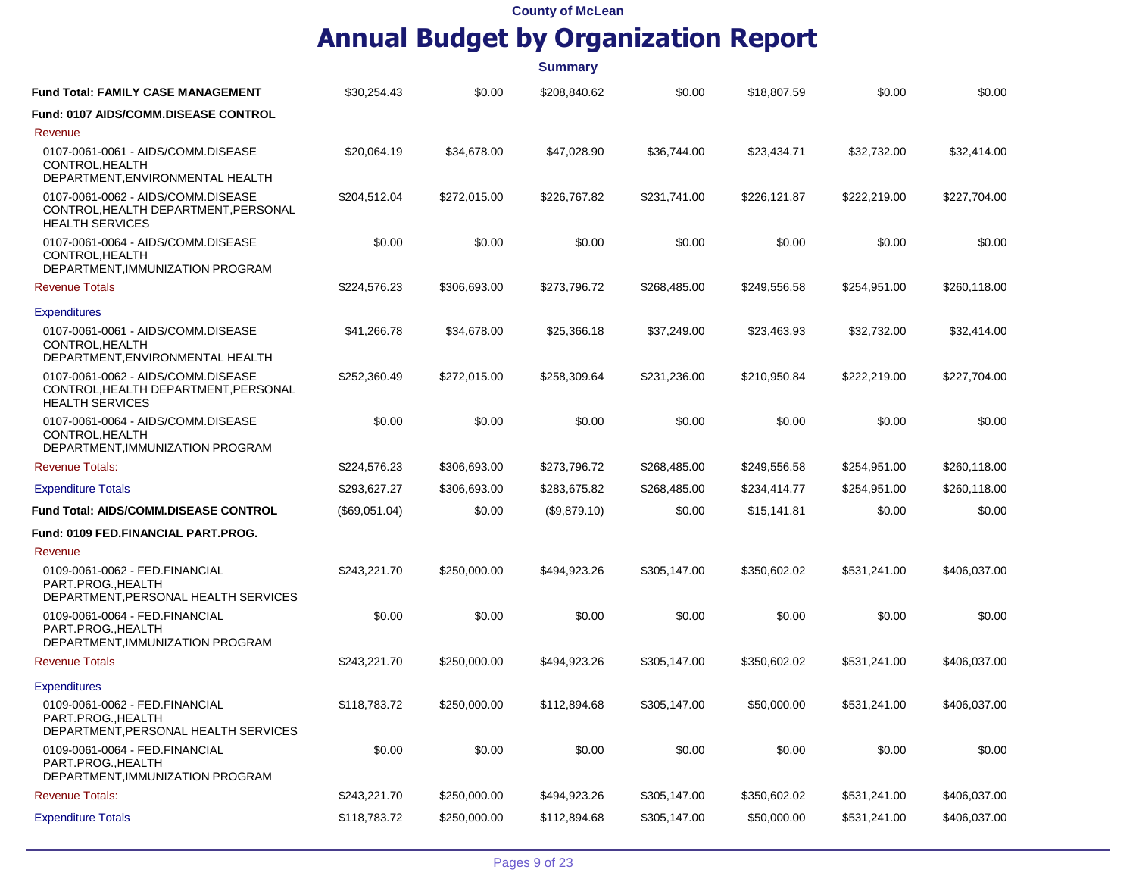|                                                                                                      |               |              | <b>Summary</b> |              |              |              |              |
|------------------------------------------------------------------------------------------------------|---------------|--------------|----------------|--------------|--------------|--------------|--------------|
| Fund Total: FAMILY CASE MANAGEMENT                                                                   | \$30,254.43   | \$0.00       | \$208,840.62   | \$0.00       | \$18,807.59  | \$0.00       | \$0.00       |
| <b>Fund: 0107 AIDS/COMM.DISEASE CONTROL</b>                                                          |               |              |                |              |              |              |              |
| Revenue                                                                                              |               |              |                |              |              |              |              |
| 0107-0061-0061 - AIDS/COMM.DISEASE<br>CONTROL, HEALTH<br>DEPARTMENT, ENVIRONMENTAL HEALTH            | \$20.064.19   | \$34,678.00  | \$47,028.90    | \$36,744.00  | \$23,434.71  | \$32,732.00  | \$32,414.00  |
| 0107-0061-0062 - AIDS/COMM.DISEASE<br>CONTROL, HEALTH DEPARTMENT, PERSONAL<br><b>HEALTH SERVICES</b> | \$204,512.04  | \$272,015.00 | \$226,767.82   | \$231,741.00 | \$226,121.87 | \$222,219.00 | \$227,704.00 |
| 0107-0061-0064 - AIDS/COMM.DISEASE<br>CONTROL.HEALTH<br>DEPARTMENT, IMMUNIZATION PROGRAM             | \$0.00        | \$0.00       | \$0.00         | \$0.00       | \$0.00       | \$0.00       | \$0.00       |
| <b>Revenue Totals</b>                                                                                | \$224,576.23  | \$306,693.00 | \$273,796.72   | \$268,485.00 | \$249,556.58 | \$254,951.00 | \$260,118.00 |
| <b>Expenditures</b>                                                                                  |               |              |                |              |              |              |              |
| 0107-0061-0061 - AIDS/COMM.DISEASE<br>CONTROL, HEALTH<br>DEPARTMENT, ENVIRONMENTAL HEALTH            | \$41,266.78   | \$34,678.00  | \$25,366.18    | \$37,249.00  | \$23,463.93  | \$32,732.00  | \$32,414.00  |
| 0107-0061-0062 - AIDS/COMM.DISEASE<br>CONTROL, HEALTH DEPARTMENT, PERSONAL<br><b>HEALTH SERVICES</b> | \$252,360.49  | \$272,015.00 | \$258,309.64   | \$231,236.00 | \$210,950.84 | \$222,219.00 | \$227,704.00 |
| 0107-0061-0064 - AIDS/COMM.DISEASE<br>CONTROL, HEALTH<br>DEPARTMENT, IMMUNIZATION PROGRAM            | \$0.00        | \$0.00       | \$0.00         | \$0.00       | \$0.00       | \$0.00       | \$0.00       |
| <b>Revenue Totals:</b>                                                                               | \$224,576.23  | \$306,693.00 | \$273,796.72   | \$268,485.00 | \$249,556.58 | \$254,951.00 | \$260,118.00 |
| <b>Expenditure Totals</b>                                                                            | \$293,627.27  | \$306,693.00 | \$283,675.82   | \$268,485.00 | \$234,414.77 | \$254,951.00 | \$260,118.00 |
| <b>Fund Total: AIDS/COMM.DISEASE CONTROL</b>                                                         | (\$69,051.04) | \$0.00       | (\$9,879.10)   | \$0.00       | \$15,141.81  | \$0.00       | \$0.00       |
| Fund: 0109 FED.FINANCIAL PART.PROG.                                                                  |               |              |                |              |              |              |              |
| Revenue                                                                                              |               |              |                |              |              |              |              |
| 0109-0061-0062 - FED.FINANCIAL<br>PART.PROG., HEALTH<br>DEPARTMENT, PERSONAL HEALTH SERVICES         | \$243,221.70  | \$250,000.00 | \$494,923.26   | \$305,147.00 | \$350,602.02 | \$531,241.00 | \$406,037.00 |
| 0109-0061-0064 - FED.FINANCIAL<br>PART.PROG., HEALTH<br>DEPARTMENT, IMMUNIZATION PROGRAM             | \$0.00        | \$0.00       | \$0.00         | \$0.00       | \$0.00       | \$0.00       | \$0.00       |
| <b>Revenue Totals</b>                                                                                | \$243.221.70  | \$250,000.00 | \$494,923.26   | \$305,147.00 | \$350,602.02 | \$531,241.00 | \$406,037.00 |
| <b>Expenditures</b>                                                                                  |               |              |                |              |              |              |              |
| 0109-0061-0062 - FED.FINANCIAL<br>PART.PROG., HEALTH<br>DEPARTMENT, PERSONAL HEALTH SERVICES         | \$118,783.72  | \$250,000.00 | \$112,894.68   | \$305,147.00 | \$50,000.00  | \$531,241.00 | \$406,037.00 |
| 0109-0061-0064 - FED.FINANCIAL<br>PART.PROG., HEALTH<br>DEPARTMENT, IMMUNIZATION PROGRAM             | \$0.00        | \$0.00       | \$0.00         | \$0.00       | \$0.00       | \$0.00       | \$0.00       |
| <b>Revenue Totals:</b>                                                                               | \$243,221.70  | \$250,000.00 | \$494,923.26   | \$305,147.00 | \$350,602.02 | \$531,241.00 | \$406,037.00 |
| <b>Expenditure Totals</b>                                                                            | \$118,783.72  | \$250,000.00 | \$112,894.68   | \$305,147.00 | \$50,000.00  | \$531,241.00 | \$406,037.00 |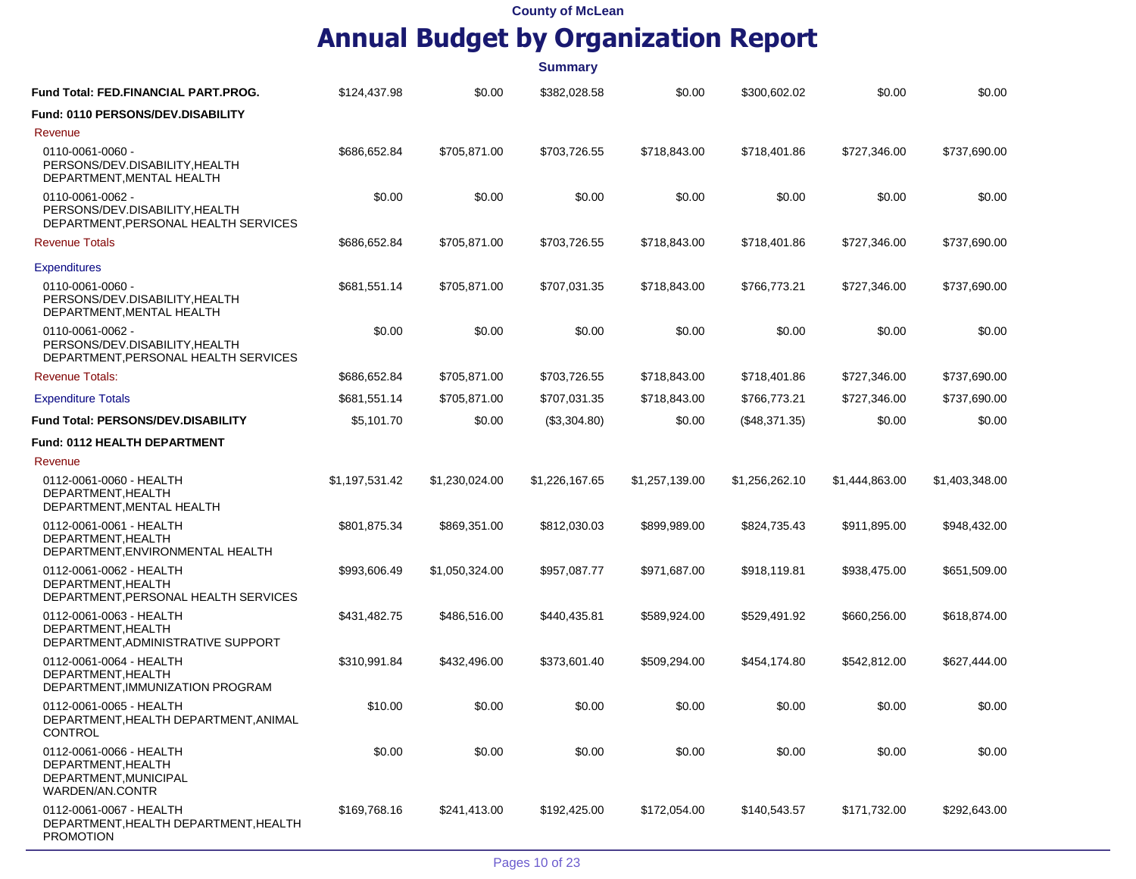|                                                                                            |                |                | <b>Summary</b> |                |                |                |                |
|--------------------------------------------------------------------------------------------|----------------|----------------|----------------|----------------|----------------|----------------|----------------|
| Fund Total: FED.FINANCIAL PART.PROG.                                                       | \$124,437.98   | \$0.00         | \$382,028.58   | \$0.00         | \$300,602.02   | \$0.00         | \$0.00         |
| Fund: 0110 PERSONS/DEV.DISABILITY                                                          |                |                |                |                |                |                |                |
| Revenue                                                                                    |                |                |                |                |                |                |                |
| 0110-0061-0060 -<br>PERSONS/DEV.DISABILITY, HEALTH<br>DEPARTMENT, MENTAL HEALTH            | \$686,652.84   | \$705,871.00   | \$703,726.55   | \$718,843.00   | \$718,401.86   | \$727,346.00   | \$737,690.00   |
| 0110-0061-0062 -<br>PERSONS/DEV.DISABILITY, HEALTH<br>DEPARTMENT, PERSONAL HEALTH SERVICES | \$0.00         | \$0.00         | \$0.00         | \$0.00         | \$0.00         | \$0.00         | \$0.00         |
| <b>Revenue Totals</b>                                                                      | \$686,652.84   | \$705,871.00   | \$703,726.55   | \$718,843.00   | \$718,401.86   | \$727,346.00   | \$737,690.00   |
| <b>Expenditures</b>                                                                        |                |                |                |                |                |                |                |
| 0110-0061-0060 -<br>PERSONS/DEV.DISABILITY, HEALTH<br>DEPARTMENT, MENTAL HEALTH            | \$681,551.14   | \$705,871.00   | \$707,031.35   | \$718,843.00   | \$766,773.21   | \$727,346.00   | \$737,690.00   |
| 0110-0061-0062 -<br>PERSONS/DEV.DISABILITY, HEALTH<br>DEPARTMENT, PERSONAL HEALTH SERVICES | \$0.00         | \$0.00         | \$0.00         | \$0.00         | \$0.00         | \$0.00         | \$0.00         |
| <b>Revenue Totals:</b>                                                                     | \$686,652.84   | \$705,871.00   | \$703,726.55   | \$718,843.00   | \$718,401.86   | \$727,346.00   | \$737,690.00   |
| <b>Expenditure Totals</b>                                                                  | \$681,551.14   | \$705,871.00   | \$707,031.35   | \$718,843.00   | \$766,773.21   | \$727,346.00   | \$737,690.00   |
| Fund Total: PERSONS/DEV.DISABILITY                                                         | \$5,101.70     | \$0.00         | (\$3,304.80)   | \$0.00         | (\$48,371.35)  | \$0.00         | \$0.00         |
| Fund: 0112 HEALTH DEPARTMENT                                                               |                |                |                |                |                |                |                |
| Revenue                                                                                    |                |                |                |                |                |                |                |
| 0112-0061-0060 - HEALTH<br>DEPARTMENT, HEALTH<br>DEPARTMENT, MENTAL HEALTH                 | \$1,197,531.42 | \$1,230,024.00 | \$1,226,167.65 | \$1,257,139.00 | \$1,256,262.10 | \$1,444,863.00 | \$1,403,348.00 |
| 0112-0061-0061 - HEALTH<br>DEPARTMENT, HEALTH<br>DEPARTMENT, ENVIRONMENTAL HEALTH          | \$801,875.34   | \$869,351.00   | \$812,030.03   | \$899,989.00   | \$824,735.43   | \$911,895.00   | \$948,432.00   |
| 0112-0061-0062 - HEALTH<br>DEPARTMENT, HEALTH<br>DEPARTMENT, PERSONAL HEALTH SERVICES      | \$993,606.49   | \$1,050,324.00 | \$957,087.77   | \$971,687.00   | \$918,119.81   | \$938,475.00   | \$651,509.00   |
| 0112-0061-0063 - HEALTH<br>DEPARTMENT, HEALTH<br>DEPARTMENT, ADMINISTRATIVE SUPPORT        | \$431,482.75   | \$486,516.00   | \$440,435.81   | \$589,924.00   | \$529,491.92   | \$660,256.00   | \$618,874.00   |
| 0112-0061-0064 - HEALTH<br>DEPARTMENT, HEALTH<br>DEPARTMENT, IMMUNIZATION PROGRAM          | \$310,991.84   | \$432,496.00   | \$373,601.40   | \$509,294.00   | \$454,174.80   | \$542,812.00   | \$627,444.00   |
| 0112-0061-0065 - HEALTH<br>DEPARTMENT, HEALTH DEPARTMENT, ANIMAL<br>CONTROL                | \$10.00        | \$0.00         | \$0.00         | \$0.00         | \$0.00         | \$0.00         | \$0.00         |
| 0112-0061-0066 - HEALTH<br>DEPARTMENT, HEALTH<br>DEPARTMENT, MUNICIPAL<br>WARDEN/AN.CONTR  | \$0.00         | \$0.00         | \$0.00         | \$0.00         | \$0.00         | \$0.00         | \$0.00         |
| 0112-0061-0067 - HEALTH<br>DEPARTMENT, HEALTH DEPARTMENT, HEALTH<br><b>PROMOTION</b>       | \$169,768.16   | \$241,413.00   | \$192,425.00   | \$172,054.00   | \$140,543.57   | \$171,732.00   | \$292,643.00   |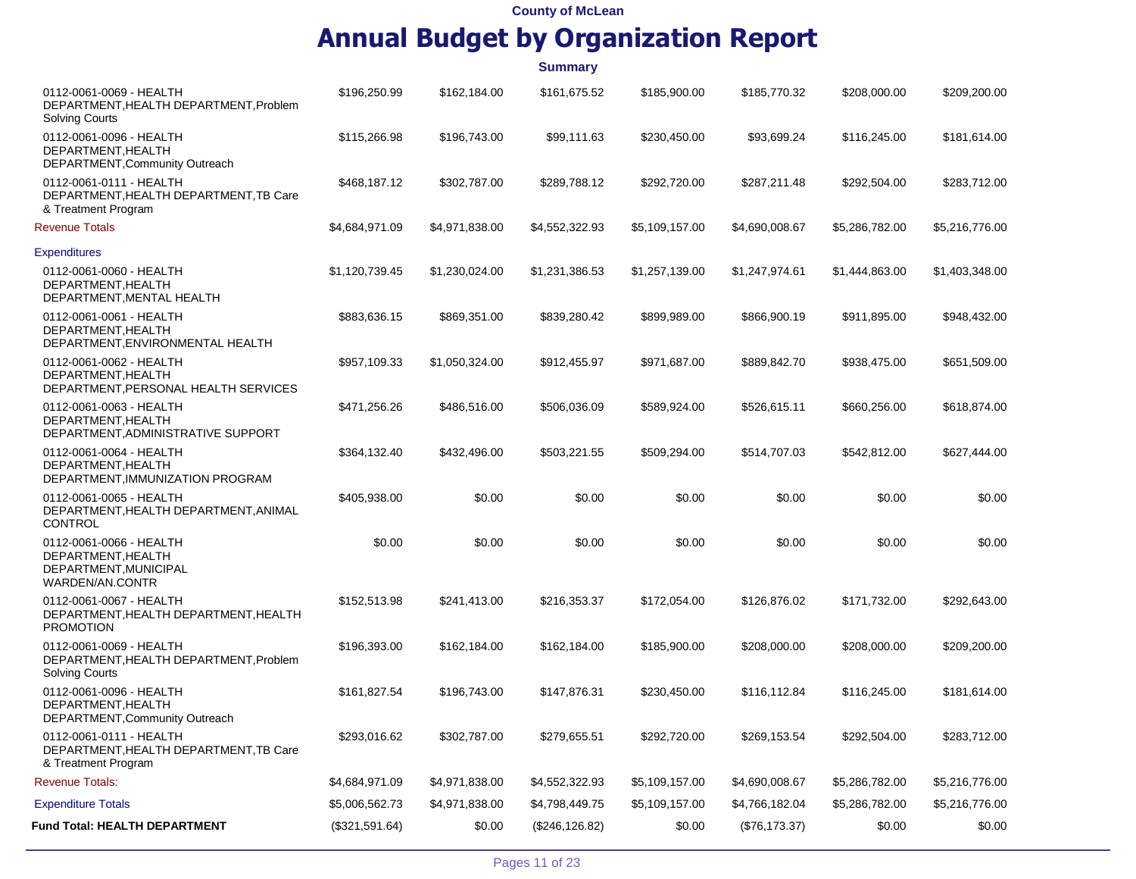|                                                                                            |                |                | <b>Summary</b>  |                |                |                |                |
|--------------------------------------------------------------------------------------------|----------------|----------------|-----------------|----------------|----------------|----------------|----------------|
| 0112-0061-0069 - HEALTH<br>DEPARTMENT, HEALTH DEPARTMENT, Problem<br><b>Solving Courts</b> | \$196,250.99   | \$162,184.00   | \$161,675.52    | \$185,900.00   | \$185,770.32   | \$208,000.00   | \$209,200.00   |
| 0112-0061-0096 - HEALTH<br>DEPARTMENT, HEALTH<br>DEPARTMENT, Community Outreach            | \$115,266.98   | \$196,743.00   | \$99,111.63     | \$230,450.00   | \$93,699.24    | \$116,245.00   | \$181,614.00   |
| 0112-0061-0111 - HEALTH<br>DEPARTMENT, HEALTH DEPARTMENT, TB Care<br>& Treatment Program   | \$468,187.12   | \$302,787.00   | \$289,788.12    | \$292,720.00   | \$287,211.48   | \$292,504.00   | \$283,712.00   |
| <b>Revenue Totals</b>                                                                      | \$4,684,971.09 | \$4,971,838.00 | \$4,552,322.93  | \$5,109,157.00 | \$4,690,008.67 | \$5,286,782.00 | \$5,216,776.00 |
| <b>Expenditures</b>                                                                        |                |                |                 |                |                |                |                |
| 0112-0061-0060 - HEALTH<br>DEPARTMENT, HEALTH<br>DEPARTMENT, MENTAL HEALTH                 | \$1,120,739.45 | \$1,230,024.00 | \$1,231,386.53  | \$1,257,139.00 | \$1,247,974.61 | \$1,444,863.00 | \$1,403,348.00 |
| 0112-0061-0061 - HEALTH<br>DEPARTMENT, HEALTH<br>DEPARTMENT, ENVIRONMENTAL HEALTH          | \$883,636.15   | \$869,351.00   | \$839,280.42    | \$899,989.00   | \$866,900.19   | \$911,895.00   | \$948,432.00   |
| 0112-0061-0062 - HEALTH<br>DEPARTMENT, HEALTH<br>DEPARTMENT, PERSONAL HEALTH SERVICES      | \$957,109.33   | \$1,050,324.00 | \$912,455.97    | \$971,687.00   | \$889,842.70   | \$938,475.00   | \$651,509.00   |
| 0112-0061-0063 - HEALTH<br>DEPARTMENT, HEALTH<br>DEPARTMENT, ADMINISTRATIVE SUPPORT        | \$471,256.26   | \$486,516.00   | \$506,036.09    | \$589,924.00   | \$526,615.11   | \$660,256.00   | \$618,874.00   |
| 0112-0061-0064 - HEALTH<br>DEPARTMENT, HEALTH<br>DEPARTMENT, IMMUNIZATION PROGRAM          | \$364,132.40   | \$432,496.00   | \$503,221.55    | \$509,294.00   | \$514,707.03   | \$542,812.00   | \$627,444.00   |
| 0112-0061-0065 - HEALTH<br>DEPARTMENT, HEALTH DEPARTMENT, ANIMAL<br><b>CONTROL</b>         | \$405,938.00   | \$0.00         | \$0.00          | \$0.00         | \$0.00         | \$0.00         | \$0.00         |
| 0112-0061-0066 - HEALTH<br>DEPARTMENT, HEALTH<br>DEPARTMENT, MUNICIPAL<br>WARDEN/AN.CONTR  | \$0.00         | \$0.00         | \$0.00          | \$0.00         | \$0.00         | \$0.00         | \$0.00         |
| 0112-0061-0067 - HEALTH<br>DEPARTMENT, HEALTH DEPARTMENT, HEALTH<br><b>PROMOTION</b>       | \$152,513.98   | \$241,413.00   | \$216,353.37    | \$172,054.00   | \$126,876.02   | \$171,732.00   | \$292,643.00   |
| 0112-0061-0069 - HEALTH<br>DEPARTMENT, HEALTH DEPARTMENT, Problem<br><b>Solving Courts</b> | \$196,393.00   | \$162,184.00   | \$162,184.00    | \$185,900.00   | \$208,000.00   | \$208,000.00   | \$209,200.00   |
| 0112-0061-0096 - HEALTH<br>DEPARTMENT, HEALTH<br>DEPARTMENT, Community Outreach            | \$161,827.54   | \$196,743.00   | \$147,876.31    | \$230,450.00   | \$116,112.84   | \$116,245.00   | \$181,614.00   |
| 0112-0061-0111 - HEALTH<br>DEPARTMENT, HEALTH DEPARTMENT, TB Care<br>& Treatment Program   | \$293,016.62   | \$302,787.00   | \$279,655.51    | \$292,720.00   | \$269,153.54   | \$292,504.00   | \$283,712.00   |
| <b>Revenue Totals:</b>                                                                     | \$4,684,971.09 | \$4,971,838.00 | \$4,552,322.93  | \$5,109,157.00 | \$4,690,008.67 | \$5,286,782.00 | \$5,216,776.00 |
| <b>Expenditure Totals</b>                                                                  | \$5,006,562.73 | \$4,971,838.00 | \$4,798,449.75  | \$5,109,157.00 | \$4,766,182.04 | \$5,286,782.00 | \$5,216,776.00 |
| Fund Total: HEALTH DEPARTMENT                                                              | (\$321,591.64) | \$0.00         | (\$246, 126.82) | \$0.00         | (\$76,173.37)  | \$0.00         | \$0.00         |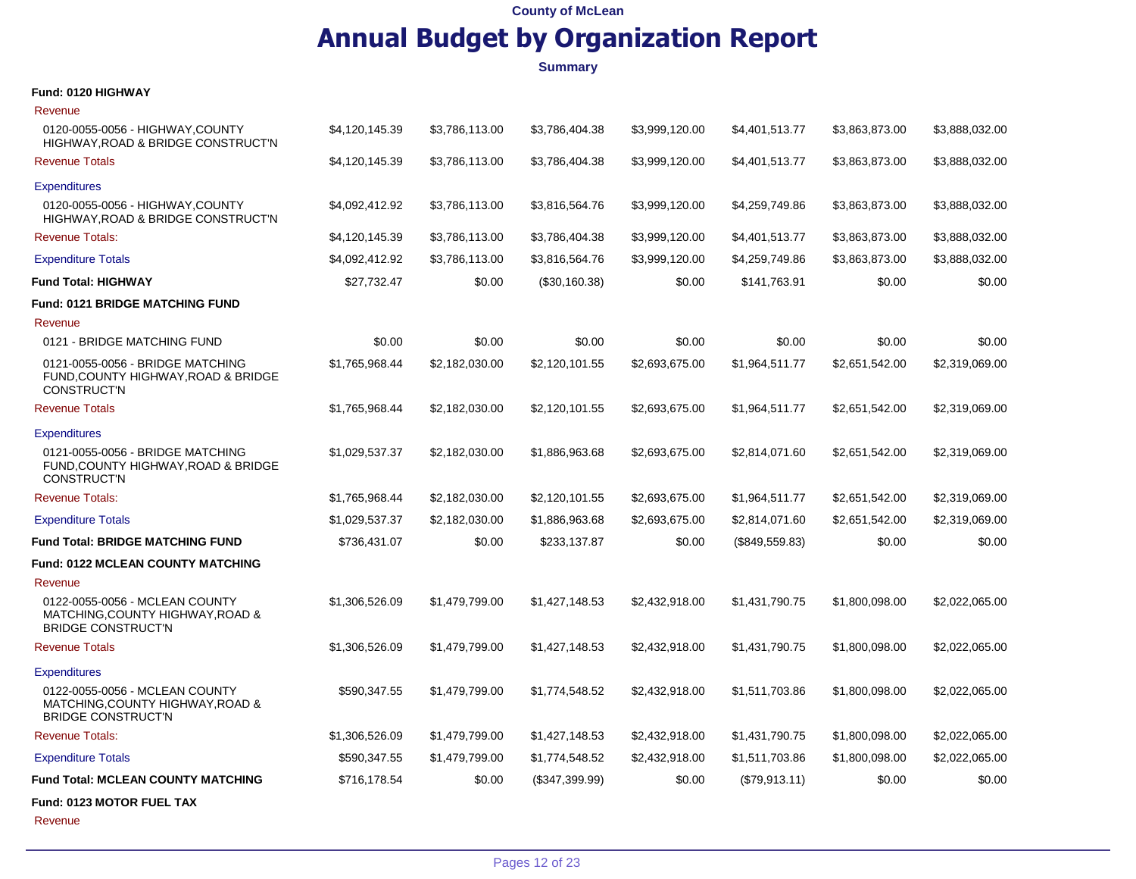### **Annual Budget by Organization Report**

| <b>Fund: 0120 HIGHWAY</b> |  |  |
|---------------------------|--|--|
|                           |  |  |

| Revenue                                                                                         |                |                |                |                |                  |                |                |
|-------------------------------------------------------------------------------------------------|----------------|----------------|----------------|----------------|------------------|----------------|----------------|
| 0120-0055-0056 - HIGHWAY, COUNTY<br>HIGHWAY, ROAD & BRIDGE CONSTRUCT'N                          | \$4,120,145.39 | \$3,786,113.00 | \$3,786,404.38 | \$3,999,120.00 | \$4,401,513.77   | \$3,863,873.00 | \$3,888,032.00 |
| <b>Revenue Totals</b>                                                                           | \$4,120,145.39 | \$3,786,113.00 | \$3,786,404.38 | \$3,999,120.00 | \$4,401,513.77   | \$3,863,873.00 | \$3,888,032.00 |
| <b>Expenditures</b>                                                                             |                |                |                |                |                  |                |                |
| 0120-0055-0056 - HIGHWAY, COUNTY<br>HIGHWAY, ROAD & BRIDGE CONSTRUCT'N                          | \$4,092,412.92 | \$3,786,113.00 | \$3,816,564.76 | \$3,999,120.00 | \$4,259,749.86   | \$3,863,873.00 | \$3,888,032.00 |
| <b>Revenue Totals:</b>                                                                          | \$4,120,145.39 | \$3,786,113.00 | \$3,786,404.38 | \$3,999,120.00 | \$4,401,513.77   | \$3,863,873.00 | \$3,888,032.00 |
| <b>Expenditure Totals</b>                                                                       | \$4,092,412.92 | \$3,786,113.00 | \$3,816,564.76 | \$3,999,120.00 | \$4,259,749.86   | \$3,863,873.00 | \$3,888,032.00 |
| <b>Fund Total: HIGHWAY</b>                                                                      | \$27,732.47    | \$0.00         | (\$30,160.38)  | \$0.00         | \$141,763.91     | \$0.00         | \$0.00         |
| <b>Fund: 0121 BRIDGE MATCHING FUND</b>                                                          |                |                |                |                |                  |                |                |
| Revenue                                                                                         |                |                |                |                |                  |                |                |
| 0121 - BRIDGE MATCHING FUND                                                                     | \$0.00         | \$0.00         | \$0.00         | \$0.00         | \$0.00           | \$0.00         | \$0.00         |
| 0121-0055-0056 - BRIDGE MATCHING<br>FUND, COUNTY HIGHWAY, ROAD & BRIDGE<br><b>CONSTRUCT'N</b>   | \$1,765,968.44 | \$2,182,030.00 | \$2,120,101.55 | \$2,693,675.00 | \$1,964,511.77   | \$2,651,542.00 | \$2,319,069.00 |
| <b>Revenue Totals</b>                                                                           | \$1,765,968.44 | \$2,182,030.00 | \$2,120,101.55 | \$2,693,675.00 | \$1,964,511.77   | \$2,651,542.00 | \$2,319,069.00 |
| <b>Expenditures</b>                                                                             |                |                |                |                |                  |                |                |
| 0121-0055-0056 - BRIDGE MATCHING<br>FUND, COUNTY HIGHWAY, ROAD & BRIDGE<br><b>CONSTRUCT'N</b>   | \$1,029,537.37 | \$2,182,030.00 | \$1,886,963.68 | \$2,693,675.00 | \$2,814,071.60   | \$2,651,542.00 | \$2,319,069.00 |
| <b>Revenue Totals:</b>                                                                          | \$1,765,968.44 | \$2,182,030.00 | \$2,120,101.55 | \$2,693,675.00 | \$1,964,511.77   | \$2,651,542.00 | \$2,319,069.00 |
| <b>Expenditure Totals</b>                                                                       | \$1,029,537.37 | \$2,182,030.00 | \$1,886,963.68 | \$2,693,675.00 | \$2,814,071.60   | \$2,651,542.00 | \$2,319,069.00 |
| <b>Fund Total: BRIDGE MATCHING FUND</b>                                                         | \$736,431.07   | \$0.00         | \$233,137.87   | \$0.00         | $(\$849,559.83)$ | \$0.00         | \$0.00         |
| Fund: 0122 MCLEAN COUNTY MATCHING                                                               |                |                |                |                |                  |                |                |
| Revenue                                                                                         |                |                |                |                |                  |                |                |
| 0122-0055-0056 - MCLEAN COUNTY<br>MATCHING, COUNTY HIGHWAY, ROAD &<br><b>BRIDGE CONSTRUCT'N</b> | \$1,306,526.09 | \$1,479,799.00 | \$1,427,148.53 | \$2,432,918.00 | \$1,431,790.75   | \$1,800,098.00 | \$2,022,065.00 |
| <b>Revenue Totals</b>                                                                           | \$1,306,526.09 | \$1,479,799.00 | \$1,427,148.53 | \$2,432,918.00 | \$1,431,790.75   | \$1,800,098.00 | \$2,022,065.00 |
| <b>Expenditures</b>                                                                             |                |                |                |                |                  |                |                |
| 0122-0055-0056 - MCLEAN COUNTY<br>MATCHING, COUNTY HIGHWAY, ROAD &<br><b>BRIDGE CONSTRUCT'N</b> | \$590,347.55   | \$1,479,799.00 | \$1,774,548.52 | \$2,432,918.00 | \$1,511,703.86   | \$1,800,098.00 | \$2,022,065.00 |
| <b>Revenue Totals:</b>                                                                          | \$1,306,526.09 | \$1,479,799.00 | \$1,427,148.53 | \$2,432,918.00 | \$1,431,790.75   | \$1,800,098.00 | \$2,022,065.00 |
| <b>Expenditure Totals</b>                                                                       | \$590,347.55   | \$1,479,799.00 | \$1,774,548.52 | \$2,432,918.00 | \$1,511,703.86   | \$1,800,098.00 | \$2,022,065.00 |
| <b>Fund Total: MCLEAN COUNTY MATCHING</b>                                                       | \$716,178.54   | \$0.00         | (\$347,399.99) | \$0.00         | (\$79,913.11)    | \$0.00         | \$0.00         |
| Fund: 0123 MOTOR FUEL TAX                                                                       |                |                |                |                |                  |                |                |
| Revenue                                                                                         |                |                |                |                |                  |                |                |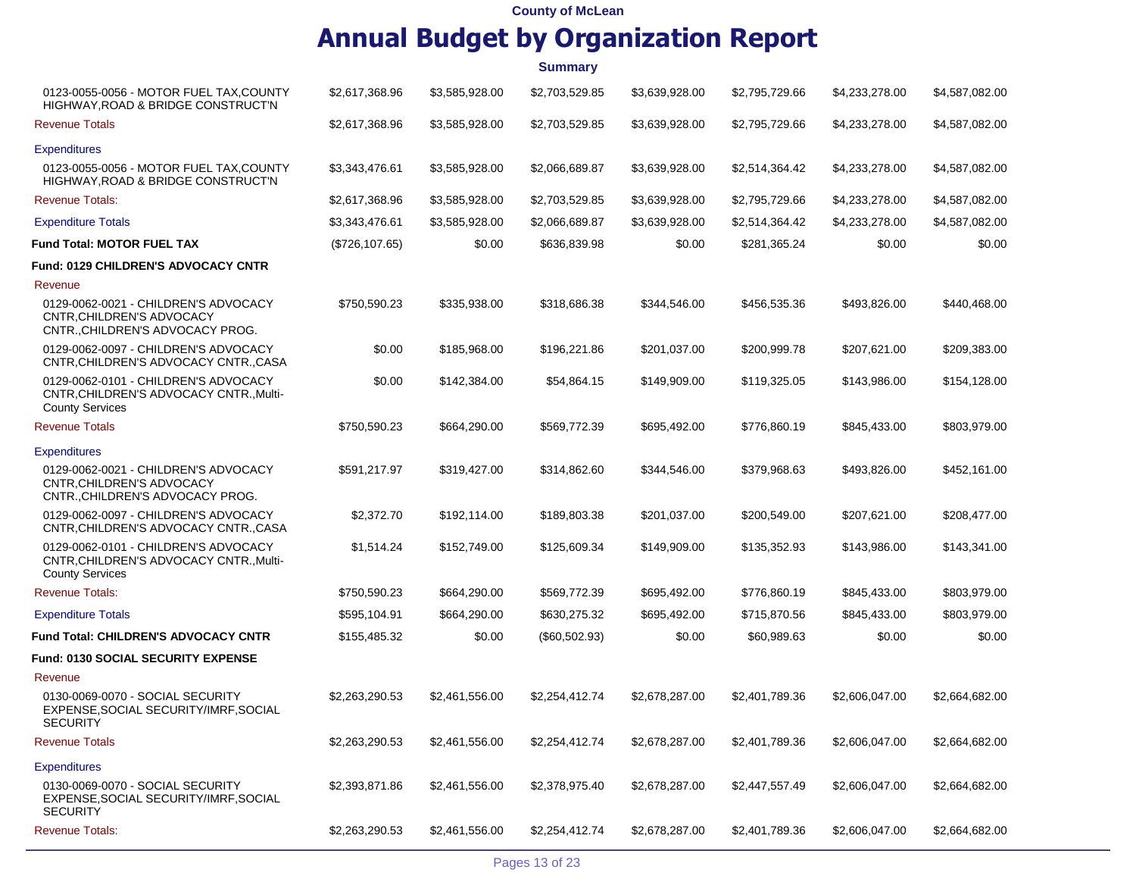|                                                                                                           |                 |                | <b>Summary</b> |                |                |                |                |
|-----------------------------------------------------------------------------------------------------------|-----------------|----------------|----------------|----------------|----------------|----------------|----------------|
| 0123-0055-0056 - MOTOR FUEL TAX, COUNTY<br>HIGHWAY, ROAD & BRIDGE CONSTRUCT'N                             | \$2,617,368.96  | \$3,585,928.00 | \$2,703,529.85 | \$3,639,928.00 | \$2,795,729.66 | \$4,233,278.00 | \$4,587,082.00 |
| <b>Revenue Totals</b>                                                                                     | \$2,617,368.96  | \$3,585,928.00 | \$2,703,529.85 | \$3,639,928.00 | \$2,795,729.66 | \$4,233,278.00 | \$4,587,082.00 |
| <b>Expenditures</b>                                                                                       |                 |                |                |                |                |                |                |
| 0123-0055-0056 - MOTOR FUEL TAX, COUNTY<br>HIGHWAY, ROAD & BRIDGE CONSTRUCT'N                             | \$3,343,476.61  | \$3,585,928.00 | \$2,066,689.87 | \$3,639,928.00 | \$2,514,364.42 | \$4,233,278.00 | \$4,587,082.00 |
| <b>Revenue Totals:</b>                                                                                    | \$2,617,368.96  | \$3,585,928.00 | \$2,703,529.85 | \$3,639,928.00 | \$2,795,729.66 | \$4,233,278.00 | \$4,587,082.00 |
| <b>Expenditure Totals</b>                                                                                 | \$3,343,476.61  | \$3,585,928.00 | \$2,066,689.87 | \$3,639,928.00 | \$2,514,364.42 | \$4,233,278.00 | \$4,587,082.00 |
| Fund Total: MOTOR FUEL TAX                                                                                | (\$726, 107.65) | \$0.00         | \$636,839.98   | \$0.00         | \$281,365.24   | \$0.00         | \$0.00         |
| Fund: 0129 CHILDREN'S ADVOCACY CNTR                                                                       |                 |                |                |                |                |                |                |
| Revenue                                                                                                   |                 |                |                |                |                |                |                |
| 0129-0062-0021 - CHILDREN'S ADVOCACY<br>CNTR, CHILDREN'S ADVOCACY<br>CNTR., CHILDREN'S ADVOCACY PROG.     | \$750,590.23    | \$335,938.00   | \$318,686.38   | \$344,546.00   | \$456,535.36   | \$493,826.00   | \$440,468.00   |
| 0129-0062-0097 - CHILDREN'S ADVOCACY<br>CNTR, CHILDREN'S ADVOCACY CNTR., CASA                             | \$0.00          | \$185,968.00   | \$196,221.86   | \$201,037.00   | \$200,999.78   | \$207,621.00   | \$209,383.00   |
| 0129-0062-0101 - CHILDREN'S ADVOCACY<br>CNTR, CHILDREN'S ADVOCACY CNTR., Multi-<br><b>County Services</b> | \$0.00          | \$142,384.00   | \$54,864.15    | \$149,909.00   | \$119,325.05   | \$143,986.00   | \$154,128.00   |
| <b>Revenue Totals</b>                                                                                     | \$750,590.23    | \$664,290.00   | \$569,772.39   | \$695,492.00   | \$776,860.19   | \$845,433.00   | \$803,979.00   |
| <b>Expenditures</b>                                                                                       |                 |                |                |                |                |                |                |
| 0129-0062-0021 - CHILDREN'S ADVOCACY<br>CNTR, CHILDREN'S ADVOCACY<br>CNTR., CHILDREN'S ADVOCACY PROG.     | \$591,217.97    | \$319,427.00   | \$314,862.60   | \$344,546.00   | \$379,968.63   | \$493,826.00   | \$452,161.00   |
| 0129-0062-0097 - CHILDREN'S ADVOCACY<br>CNTR, CHILDREN'S ADVOCACY CNTR., CASA                             | \$2,372.70      | \$192,114.00   | \$189,803.38   | \$201,037.00   | \$200,549.00   | \$207,621.00   | \$208,477.00   |
| 0129-0062-0101 - CHILDREN'S ADVOCACY<br>CNTR, CHILDREN'S ADVOCACY CNTR., Multi-<br><b>County Services</b> | \$1,514.24      | \$152,749.00   | \$125,609.34   | \$149,909.00   | \$135,352.93   | \$143,986.00   | \$143,341.00   |
| <b>Revenue Totals:</b>                                                                                    | \$750,590.23    | \$664,290.00   | \$569,772.39   | \$695,492.00   | \$776,860.19   | \$845,433.00   | \$803,979.00   |
| <b>Expenditure Totals</b>                                                                                 | \$595,104.91    | \$664,290.00   | \$630,275.32   | \$695,492.00   | \$715,870.56   | \$845,433.00   | \$803,979.00   |
| Fund Total: CHILDREN'S ADVOCACY CNTR                                                                      | \$155,485.32    | \$0.00         | (\$60,502.93)  | \$0.00         | \$60,989.63    | \$0.00         | \$0.00         |
| <b>Fund: 0130 SOCIAL SECURITY EXPENSE</b>                                                                 |                 |                |                |                |                |                |                |
| Revenue                                                                                                   |                 |                |                |                |                |                |                |
| 0130-0069-0070 - SOCIAL SECURITY<br>EXPENSE, SOCIAL SECURITY/IMRF, SOCIAL<br><b>SECURITY</b>              | \$2,263,290.53  | \$2,461,556.00 | \$2,254,412.74 | \$2,678,287.00 | \$2,401,789.36 | \$2,606,047.00 | \$2,664,682.00 |
| <b>Revenue Totals</b>                                                                                     | \$2,263,290.53  | \$2,461,556.00 | \$2,254,412.74 | \$2,678,287.00 | \$2,401,789.36 | \$2,606,047.00 | \$2,664,682.00 |
| Expenditures                                                                                              |                 |                |                |                |                |                |                |
| 0130-0069-0070 - SOCIAL SECURITY<br>EXPENSE, SOCIAL SECURITY/IMRF, SOCIAL<br><b>SECURITY</b>              | \$2,393,871.86  | \$2,461,556.00 | \$2,378,975.40 | \$2,678,287.00 | \$2,447,557.49 | \$2,606,047.00 | \$2,664,682.00 |
| <b>Revenue Totals:</b>                                                                                    | \$2,263,290.53  | \$2,461,556.00 | \$2,254,412.74 | \$2,678,287.00 | \$2,401,789.36 | \$2,606,047.00 | \$2,664,682.00 |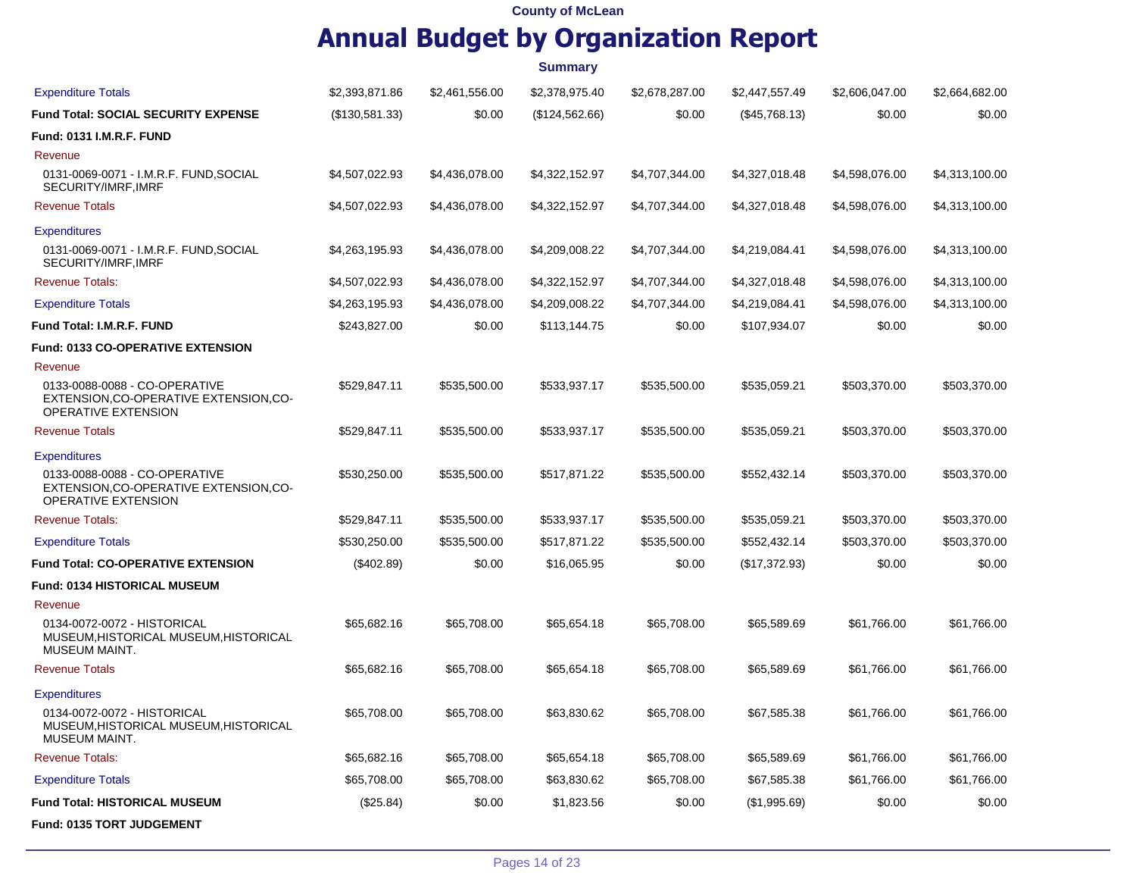|                                                                                                       |                |                | <b>Summary</b> |                |                |                |                |
|-------------------------------------------------------------------------------------------------------|----------------|----------------|----------------|----------------|----------------|----------------|----------------|
| <b>Expenditure Totals</b>                                                                             | \$2,393,871.86 | \$2,461,556.00 | \$2,378,975.40 | \$2,678,287.00 | \$2,447,557.49 | \$2,606,047.00 | \$2,664,682.00 |
| <b>Fund Total: SOCIAL SECURITY EXPENSE</b>                                                            | (\$130,581.33) | \$0.00         | (\$124,562.66) | \$0.00         | (\$45,768.13)  | \$0.00         | \$0.00         |
| <b>Fund: 0131 I.M.R.F. FUND</b>                                                                       |                |                |                |                |                |                |                |
| Revenue                                                                                               |                |                |                |                |                |                |                |
| 0131-0069-0071 - I.M.R.F. FUND, SOCIAL<br>SECURITY/IMRF, IMRF                                         | \$4,507,022.93 | \$4,436,078.00 | \$4,322,152.97 | \$4,707,344.00 | \$4,327,018.48 | \$4,598,076.00 | \$4,313,100.00 |
| <b>Revenue Totals</b>                                                                                 | \$4,507,022.93 | \$4,436,078.00 | \$4,322,152.97 | \$4,707,344.00 | \$4,327,018.48 | \$4,598,076.00 | \$4,313,100.00 |
| <b>Expenditures</b>                                                                                   |                |                |                |                |                |                |                |
| 0131-0069-0071 - I.M.R.F. FUND, SOCIAL<br>SECURITY/IMRF, IMRF                                         | \$4,263,195.93 | \$4,436,078.00 | \$4,209,008.22 | \$4,707,344.00 | \$4,219,084.41 | \$4,598,076.00 | \$4,313,100.00 |
| <b>Revenue Totals:</b>                                                                                | \$4,507,022.93 | \$4,436,078.00 | \$4,322,152.97 | \$4,707,344.00 | \$4,327,018.48 | \$4,598,076.00 | \$4,313,100.00 |
| <b>Expenditure Totals</b>                                                                             | \$4,263,195.93 | \$4,436,078.00 | \$4,209,008.22 | \$4,707,344.00 | \$4,219,084.41 | \$4,598,076.00 | \$4,313,100.00 |
| <b>Fund Total: I.M.R.F. FUND</b>                                                                      | \$243,827.00   | \$0.00         | \$113,144.75   | \$0.00         | \$107,934.07   | \$0.00         | \$0.00         |
| <b>Fund: 0133 CO-OPERATIVE EXTENSION</b>                                                              |                |                |                |                |                |                |                |
| Revenue                                                                                               |                |                |                |                |                |                |                |
| 0133-0088-0088 - CO-OPERATIVE<br>EXTENSION, CO-OPERATIVE EXTENSION, CO-<br>OPERATIVE EXTENSION        | \$529,847.11   | \$535,500.00   | \$533,937.17   | \$535,500.00   | \$535,059.21   | \$503,370.00   | \$503,370.00   |
| <b>Revenue Totals</b>                                                                                 | \$529,847.11   | \$535,500.00   | \$533,937.17   | \$535,500.00   | \$535,059.21   | \$503,370.00   | \$503,370.00   |
| <b>Expenditures</b>                                                                                   |                |                |                |                |                |                |                |
| 0133-0088-0088 - CO-OPERATIVE<br>EXTENSION, CO-OPERATIVE EXTENSION, CO-<br><b>OPERATIVE EXTENSION</b> | \$530,250.00   | \$535,500.00   | \$517,871.22   | \$535,500.00   | \$552,432.14   | \$503,370.00   | \$503,370.00   |
| <b>Revenue Totals:</b>                                                                                | \$529,847.11   | \$535,500.00   | \$533,937.17   | \$535,500.00   | \$535,059.21   | \$503,370.00   | \$503,370.00   |
| <b>Expenditure Totals</b>                                                                             | \$530,250.00   | \$535,500.00   | \$517,871.22   | \$535,500.00   | \$552,432.14   | \$503,370.00   | \$503,370.00   |
| <b>Fund Total: CO-OPERATIVE EXTENSION</b>                                                             | (\$402.89)     | \$0.00         | \$16,065.95    | \$0.00         | (\$17,372.93)  | \$0.00         | \$0.00         |
| <b>Fund: 0134 HISTORICAL MUSEUM</b>                                                                   |                |                |                |                |                |                |                |
| Revenue                                                                                               |                |                |                |                |                |                |                |
| 0134-0072-0072 - HISTORICAL<br>MUSEUM, HISTORICAL MUSEUM, HISTORICAL<br><b>MUSEUM MAINT.</b>          | \$65,682.16    | \$65,708.00    | \$65,654.18    | \$65,708.00    | \$65,589.69    | \$61,766.00    | \$61.766.00    |
| <b>Revenue Totals</b>                                                                                 | \$65.682.16    | \$65,708.00    | \$65,654.18    | \$65,708.00    | \$65,589.69    | \$61,766.00    | \$61,766.00    |
| <b>Expenditures</b>                                                                                   |                |                |                |                |                |                |                |
| 0134-0072-0072 - HISTORICAL<br>MUSEUM, HISTORICAL MUSEUM, HISTORICAL<br>MUSEUM MAINT.                 | \$65,708.00    | \$65,708.00    | \$63,830.62    | \$65,708.00    | \$67,585.38    | \$61,766.00    | \$61,766.00    |
| <b>Revenue Totals:</b>                                                                                | \$65,682.16    | \$65,708.00    | \$65,654.18    | \$65,708.00    | \$65,589.69    | \$61,766.00    | \$61,766.00    |
| <b>Expenditure Totals</b>                                                                             | \$65,708.00    | \$65,708.00    | \$63,830.62    | \$65,708.00    | \$67,585.38    | \$61,766.00    | \$61,766.00    |
| Fund Total: HISTORICAL MUSEUM                                                                         | (\$25.84)      | \$0.00         | \$1,823.56     | \$0.00         | (\$1,995.69)   | \$0.00         | \$0.00         |
| Fund: 0135 TORT JUDGEMENT                                                                             |                |                |                |                |                |                |                |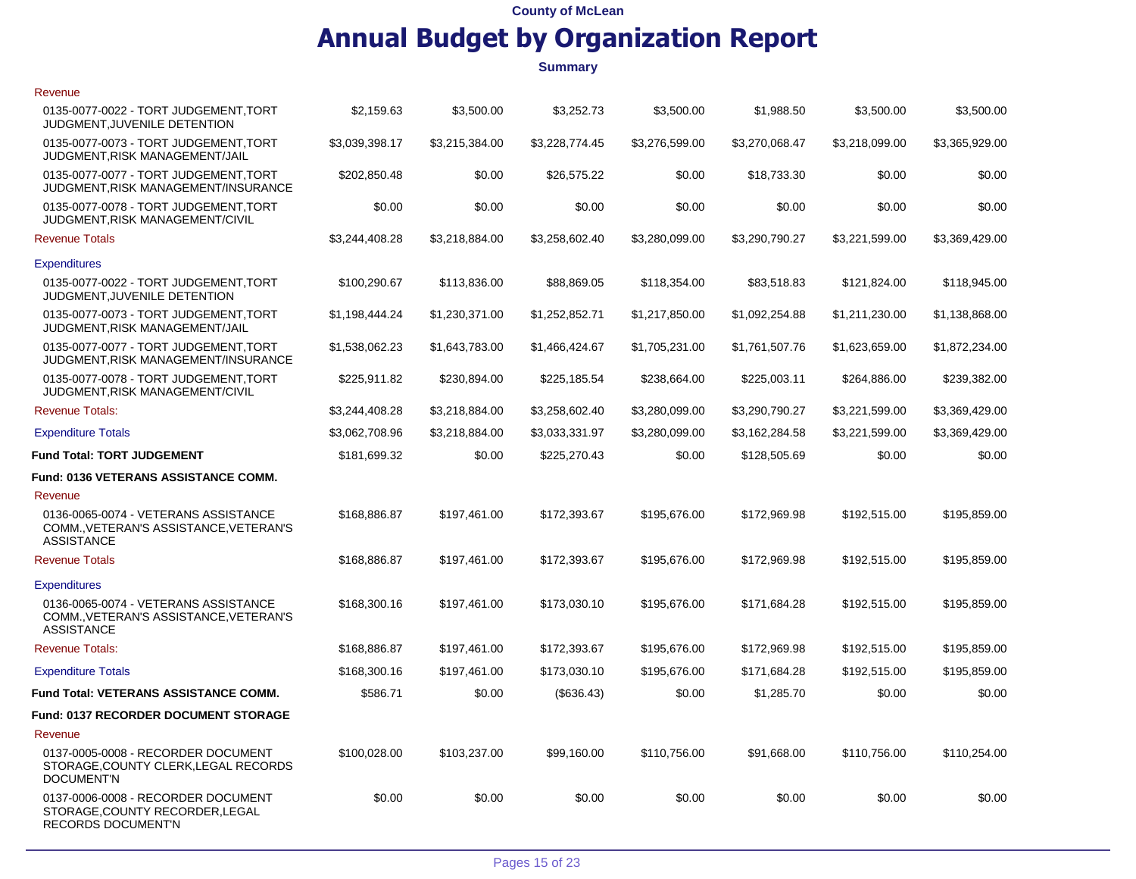### **Annual Budget by Organization Report**

| Revenue                                                                                             |                |                |                |                |                |                |                |
|-----------------------------------------------------------------------------------------------------|----------------|----------------|----------------|----------------|----------------|----------------|----------------|
| 0135-0077-0022 - TORT JUDGEMENT, TORT<br>JUDGMENT, JUVENILE DETENTION                               | \$2,159.63     | \$3,500.00     | \$3,252.73     | \$3,500.00     | \$1,988.50     | \$3,500.00     | \$3,500.00     |
| 0135-0077-0073 - TORT JUDGEMENT, TORT<br><b>JUDGMENT.RISK MANAGEMENT/JAIL</b>                       | \$3,039,398.17 | \$3,215,384.00 | \$3,228,774.45 | \$3,276,599.00 | \$3,270,068.47 | \$3,218,099.00 | \$3,365,929.00 |
| 0135-0077-0077 - TORT JUDGEMENT, TORT<br>JUDGMENT, RISK MANAGEMENT/INSURANCE                        | \$202,850.48   | \$0.00         | \$26,575.22    | \$0.00         | \$18,733.30    | \$0.00         | \$0.00         |
| 0135-0077-0078 - TORT JUDGEMENT, TORT<br>JUDGMENT, RISK MANAGEMENT/CIVIL                            | \$0.00         | \$0.00         | \$0.00         | \$0.00         | \$0.00         | \$0.00         | \$0.00         |
| <b>Revenue Totals</b>                                                                               | \$3,244,408.28 | \$3,218,884.00 | \$3,258,602.40 | \$3,280,099.00 | \$3,290,790.27 | \$3,221,599.00 | \$3,369,429.00 |
| <b>Expenditures</b>                                                                                 |                |                |                |                |                |                |                |
| 0135-0077-0022 - TORT JUDGEMENT, TORT<br>JUDGMENT, JUVENILE DETENTION                               | \$100,290.67   | \$113,836.00   | \$88,869.05    | \$118,354.00   | \$83,518.83    | \$121,824.00   | \$118,945.00   |
| 0135-0077-0073 - TORT JUDGEMENT, TORT<br>JUDGMENT, RISK MANAGEMENT/JAIL                             | \$1,198,444.24 | \$1,230,371.00 | \$1,252,852.71 | \$1,217,850.00 | \$1,092,254.88 | \$1,211,230.00 | \$1,138,868.00 |
| 0135-0077-0077 - TORT JUDGEMENT, TORT<br>JUDGMENT, RISK MANAGEMENT/INSURANCE                        | \$1,538,062.23 | \$1,643,783.00 | \$1,466,424.67 | \$1,705,231.00 | \$1,761,507.76 | \$1,623,659.00 | \$1,872,234.00 |
| 0135-0077-0078 - TORT JUDGEMENT, TORT<br>JUDGMENT, RISK MANAGEMENT/CIVIL                            | \$225,911.82   | \$230,894.00   | \$225,185.54   | \$238,664.00   | \$225,003.11   | \$264,886.00   | \$239,382.00   |
| <b>Revenue Totals:</b>                                                                              | \$3,244,408.28 | \$3,218,884.00 | \$3,258,602.40 | \$3,280,099.00 | \$3,290,790.27 | \$3,221,599.00 | \$3,369,429.00 |
| <b>Expenditure Totals</b>                                                                           | \$3,062,708.96 | \$3,218,884.00 | \$3,033,331.97 | \$3,280,099.00 | \$3,162,284.58 | \$3,221,599.00 | \$3,369,429.00 |
| <b>Fund Total: TORT JUDGEMENT</b>                                                                   | \$181,699.32   | \$0.00         | \$225,270.43   | \$0.00         | \$128,505.69   | \$0.00         | \$0.00         |
| Fund: 0136 VETERANS ASSISTANCE COMM.                                                                |                |                |                |                |                |                |                |
| Revenue                                                                                             |                |                |                |                |                |                |                |
| 0136-0065-0074 - VETERANS ASSISTANCE<br>COMM., VETERAN'S ASSISTANCE, VETERAN'S<br><b>ASSISTANCE</b> | \$168,886.87   | \$197,461.00   | \$172,393.67   | \$195,676.00   | \$172,969.98   | \$192,515.00   | \$195,859.00   |
| <b>Revenue Totals</b>                                                                               | \$168,886.87   | \$197,461.00   | \$172,393.67   | \$195,676.00   | \$172,969.98   | \$192,515.00   | \$195,859.00   |
| <b>Expenditures</b>                                                                                 |                |                |                |                |                |                |                |
| 0136-0065-0074 - VETERANS ASSISTANCE<br>COMM., VETERAN'S ASSISTANCE, VETERAN'S<br><b>ASSISTANCE</b> | \$168,300.16   | \$197,461.00   | \$173,030.10   | \$195,676.00   | \$171,684.28   | \$192,515.00   | \$195,859.00   |
| <b>Revenue Totals:</b>                                                                              | \$168,886.87   | \$197,461.00   | \$172,393.67   | \$195,676.00   | \$172,969.98   | \$192,515.00   | \$195,859.00   |
| <b>Expenditure Totals</b>                                                                           | \$168,300.16   | \$197,461.00   | \$173,030.10   | \$195,676.00   | \$171,684.28   | \$192,515.00   | \$195,859.00   |
| <b>Fund Total: VETERANS ASSISTANCE COMM.</b>                                                        | \$586.71       | \$0.00         | (\$636.43)     | \$0.00         | \$1,285.70     | \$0.00         | \$0.00         |
| Fund: 0137 RECORDER DOCUMENT STORAGE                                                                |                |                |                |                |                |                |                |
| Revenue                                                                                             |                |                |                |                |                |                |                |
| 0137-0005-0008 - RECORDER DOCUMENT<br>STORAGE, COUNTY CLERK, LEGAL RECORDS<br><b>DOCUMENT'N</b>     | \$100,028.00   | \$103,237.00   | \$99,160.00    | \$110,756.00   | \$91,668.00    | \$110,756.00   | \$110,254.00   |
| 0137-0006-0008 - RECORDER DOCUMENT<br>STORAGE, COUNTY RECORDER, LEGAL<br><b>RECORDS DOCUMENT'N</b>  | \$0.00         | \$0.00         | \$0.00         | \$0.00         | \$0.00         | \$0.00         | \$0.00         |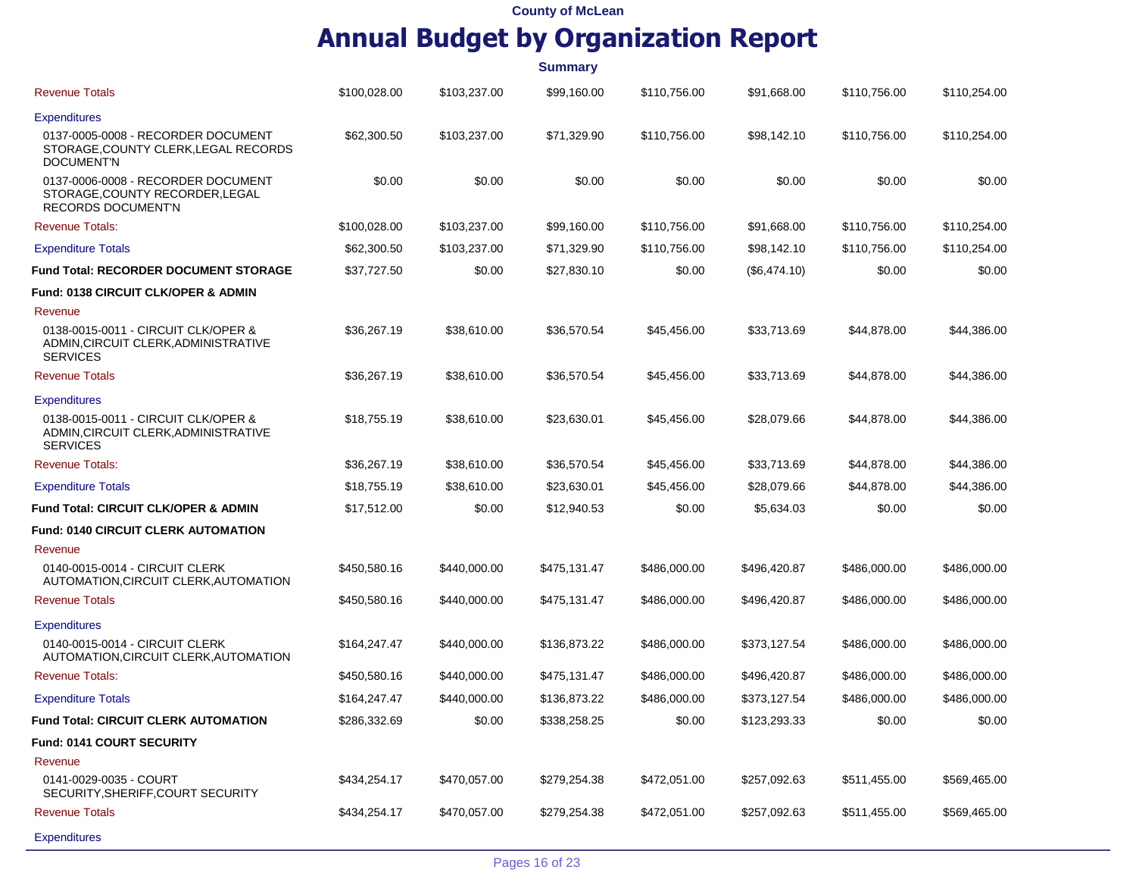|                                                                                                    |              |              | <b>Summary</b> |              |              |              |              |
|----------------------------------------------------------------------------------------------------|--------------|--------------|----------------|--------------|--------------|--------------|--------------|
| <b>Revenue Totals</b>                                                                              | \$100,028.00 | \$103,237.00 | \$99,160.00    | \$110,756.00 | \$91,668.00  | \$110,756.00 | \$110,254.00 |
| <b>Expenditures</b>                                                                                |              |              |                |              |              |              |              |
| 0137-0005-0008 - RECORDER DOCUMENT<br>STORAGE, COUNTY CLERK, LEGAL RECORDS<br><b>DOCUMENT'N</b>    | \$62,300.50  | \$103,237.00 | \$71,329.90    | \$110,756.00 | \$98,142.10  | \$110,756.00 | \$110,254.00 |
| 0137-0006-0008 - RECORDER DOCUMENT<br>STORAGE, COUNTY RECORDER, LEGAL<br><b>RECORDS DOCUMENT'N</b> | \$0.00       | \$0.00       | \$0.00         | \$0.00       | \$0.00       | \$0.00       | \$0.00       |
| <b>Revenue Totals:</b>                                                                             | \$100,028.00 | \$103,237.00 | \$99,160.00    | \$110,756.00 | \$91,668.00  | \$110,756.00 | \$110,254.00 |
| <b>Expenditure Totals</b>                                                                          | \$62,300.50  | \$103,237.00 | \$71,329.90    | \$110,756.00 | \$98,142.10  | \$110,756.00 | \$110,254.00 |
| Fund Total: RECORDER DOCUMENT STORAGE                                                              | \$37,727.50  | \$0.00       | \$27,830.10    | \$0.00       | (\$6,474.10) | \$0.00       | \$0.00       |
| Fund: 0138 CIRCUIT CLK/OPER & ADMIN                                                                |              |              |                |              |              |              |              |
| Revenue                                                                                            |              |              |                |              |              |              |              |
| 0138-0015-0011 - CIRCUIT CLK/OPER &<br>ADMIN, CIRCUIT CLERK, ADMINISTRATIVE<br><b>SERVICES</b>     | \$36,267.19  | \$38,610.00  | \$36,570.54    | \$45,456.00  | \$33,713.69  | \$44,878.00  | \$44,386.00  |
| <b>Revenue Totals</b>                                                                              | \$36,267.19  | \$38,610.00  | \$36,570.54    | \$45,456.00  | \$33,713.69  | \$44,878.00  | \$44,386.00  |
| <b>Expenditures</b>                                                                                |              |              |                |              |              |              |              |
| 0138-0015-0011 - CIRCUIT CLK/OPER &<br>ADMIN, CIRCUIT CLERK, ADMINISTRATIVE<br><b>SERVICES</b>     | \$18,755.19  | \$38,610.00  | \$23,630.01    | \$45,456.00  | \$28,079.66  | \$44,878.00  | \$44,386.00  |
| <b>Revenue Totals:</b>                                                                             | \$36,267.19  | \$38,610.00  | \$36,570.54    | \$45,456.00  | \$33,713.69  | \$44,878.00  | \$44,386.00  |
| <b>Expenditure Totals</b>                                                                          | \$18,755.19  | \$38,610.00  | \$23,630.01    | \$45,456.00  | \$28,079.66  | \$44,878.00  | \$44,386.00  |
| Fund Total: CIRCUIT CLK/OPER & ADMIN                                                               | \$17,512.00  | \$0.00       | \$12,940.53    | \$0.00       | \$5,634.03   | \$0.00       | \$0.00       |
| Fund: 0140 CIRCUIT CLERK AUTOMATION                                                                |              |              |                |              |              |              |              |
| Revenue                                                                                            |              |              |                |              |              |              |              |
| 0140-0015-0014 - CIRCUIT CLERK<br>AUTOMATION, CIRCUIT CLERK, AUTOMATION                            | \$450,580.16 | \$440,000.00 | \$475,131.47   | \$486,000.00 | \$496,420.87 | \$486,000.00 | \$486,000.00 |
| <b>Revenue Totals</b>                                                                              | \$450,580.16 | \$440,000.00 | \$475,131.47   | \$486,000.00 | \$496,420.87 | \$486,000.00 | \$486,000.00 |
| <b>Expenditures</b>                                                                                |              |              |                |              |              |              |              |
| 0140-0015-0014 - CIRCUIT CLERK<br>AUTOMATION, CIRCUIT CLERK, AUTOMATION                            | \$164,247.47 | \$440,000.00 | \$136,873.22   | \$486,000.00 | \$373,127.54 | \$486,000.00 | \$486,000.00 |
| <b>Revenue Totals:</b>                                                                             | \$450,580.16 | \$440,000.00 | \$475,131.47   | \$486,000.00 | \$496,420.87 | \$486,000.00 | \$486,000.00 |
| <b>Expenditure Totals</b>                                                                          | \$164.247.47 | \$440,000.00 | \$136,873.22   | \$486,000.00 | \$373,127.54 | \$486,000.00 | \$486,000.00 |
| <b>Fund Total: CIRCUIT CLERK AUTOMATION</b>                                                        | \$286,332.69 | \$0.00       | \$338,258.25   | \$0.00       | \$123,293.33 | \$0.00       | \$0.00       |
| Fund: 0141 COURT SECURITY                                                                          |              |              |                |              |              |              |              |
| Revenue                                                                                            |              |              |                |              |              |              |              |
| 0141-0029-0035 - COURT<br>SECURITY, SHERIFF, COURT SECURITY                                        | \$434,254.17 | \$470,057.00 | \$279,254.38   | \$472,051.00 | \$257,092.63 | \$511,455.00 | \$569,465.00 |
| <b>Revenue Totals</b>                                                                              | \$434,254.17 | \$470,057.00 | \$279,254.38   | \$472,051.00 | \$257,092.63 | \$511,455.00 | \$569,465.00 |
| <b>Expenditures</b>                                                                                |              |              |                |              |              |              |              |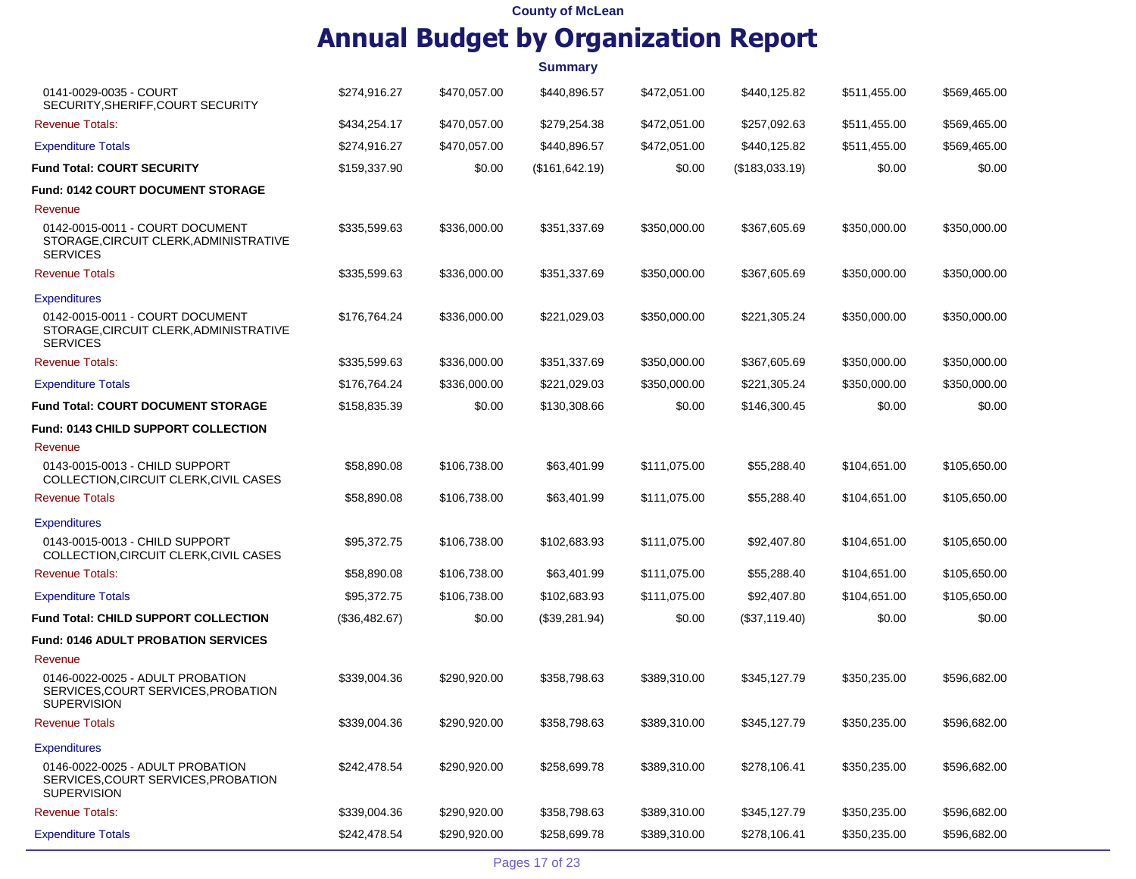### **County of McLean Annual Budget by Organization Report**

|                                                                                               |               |              | <b>Summary</b>  |              |                |              |              |
|-----------------------------------------------------------------------------------------------|---------------|--------------|-----------------|--------------|----------------|--------------|--------------|
| 0141-0029-0035 - COURT<br>SECURITY, SHERIFF, COURT SECURITY                                   | \$274,916.27  | \$470,057.00 | \$440,896.57    | \$472,051.00 | \$440,125.82   | \$511,455.00 | \$569,465.00 |
| <b>Revenue Totals:</b>                                                                        | \$434,254.17  | \$470,057.00 | \$279,254.38    | \$472,051.00 | \$257,092.63   | \$511,455.00 | \$569,465.00 |
| <b>Expenditure Totals</b>                                                                     | \$274,916.27  | \$470,057.00 | \$440,896.57    | \$472,051.00 | \$440,125.82   | \$511,455.00 | \$569,465.00 |
| Fund Total: COURT SECURITY                                                                    | \$159,337.90  | \$0.00       | (\$161, 642.19) | \$0.00       | (\$183,033.19) | \$0.00       | \$0.00       |
| Fund: 0142 COURT DOCUMENT STORAGE                                                             |               |              |                 |              |                |              |              |
| Revenue                                                                                       |               |              |                 |              |                |              |              |
| 0142-0015-0011 - COURT DOCUMENT<br>STORAGE, CIRCUIT CLERK, ADMINISTRATIVE<br><b>SERVICES</b>  | \$335,599.63  | \$336,000.00 | \$351,337.69    | \$350,000.00 | \$367,605.69   | \$350,000.00 | \$350,000.00 |
| <b>Revenue Totals</b>                                                                         | \$335,599.63  | \$336,000.00 | \$351,337.69    | \$350,000.00 | \$367,605.69   | \$350,000.00 | \$350,000.00 |
| <b>Expenditures</b>                                                                           |               |              |                 |              |                |              |              |
| 0142-0015-0011 - COURT DOCUMENT<br>STORAGE, CIRCUIT CLERK, ADMINISTRATIVE<br><b>SERVICES</b>  | \$176,764.24  | \$336,000.00 | \$221,029.03    | \$350,000.00 | \$221,305.24   | \$350,000.00 | \$350,000.00 |
| <b>Revenue Totals:</b>                                                                        | \$335,599.63  | \$336,000.00 | \$351,337.69    | \$350,000.00 | \$367,605.69   | \$350,000.00 | \$350,000.00 |
| <b>Expenditure Totals</b>                                                                     | \$176,764.24  | \$336,000.00 | \$221,029.03    | \$350,000.00 | \$221,305.24   | \$350,000.00 | \$350,000.00 |
| Fund Total: COURT DOCUMENT STORAGE                                                            | \$158,835.39  | \$0.00       | \$130,308.66    | \$0.00       | \$146,300.45   | \$0.00       | \$0.00       |
| <b>Fund: 0143 CHILD SUPPORT COLLECTION</b>                                                    |               |              |                 |              |                |              |              |
| Revenue                                                                                       |               |              |                 |              |                |              |              |
| 0143-0015-0013 - CHILD SUPPORT<br>COLLECTION, CIRCUIT CLERK, CIVIL CASES                      | \$58,890.08   | \$106,738.00 | \$63,401.99     | \$111,075.00 | \$55,288.40    | \$104,651.00 | \$105,650.00 |
| <b>Revenue Totals</b>                                                                         | \$58,890.08   | \$106,738.00 | \$63,401.99     | \$111,075.00 | \$55,288.40    | \$104,651.00 | \$105,650.00 |
| <b>Expenditures</b>                                                                           |               |              |                 |              |                |              |              |
| 0143-0015-0013 - CHILD SUPPORT<br>COLLECTION, CIRCUIT CLERK, CIVIL CASES                      | \$95,372.75   | \$106,738.00 | \$102,683.93    | \$111,075.00 | \$92,407.80    | \$104,651.00 | \$105,650.00 |
| <b>Revenue Totals:</b>                                                                        | \$58,890.08   | \$106,738.00 | \$63,401.99     | \$111,075.00 | \$55,288.40    | \$104,651.00 | \$105,650.00 |
| <b>Expenditure Totals</b>                                                                     | \$95,372.75   | \$106,738.00 | \$102,683.93    | \$111,075.00 | \$92,407.80    | \$104,651.00 | \$105,650.00 |
| Fund Total: CHILD SUPPORT COLLECTION                                                          | (\$36,482.67) | \$0.00       | (\$39,281.94)   | \$0.00       | (\$37,119.40)  | \$0.00       | \$0.00       |
| Fund: 0146 ADULT PROBATION SERVICES                                                           |               |              |                 |              |                |              |              |
| Revenue                                                                                       |               |              |                 |              |                |              |              |
| 0146-0022-0025 - ADULT PROBATION<br>SERVICES, COURT SERVICES, PROBATION<br><b>SUPERVISION</b> | \$339,004.36  | \$290,920.00 | \$358,798.63    | \$389,310.00 | \$345,127.79   | \$350,235.00 | \$596,682.00 |
| <b>Revenue Totals</b>                                                                         | \$339,004.36  | \$290,920.00 | \$358,798.63    | \$389,310.00 | \$345,127.79   | \$350,235.00 | \$596,682.00 |
| <b>Expenditures</b>                                                                           |               |              |                 |              |                |              |              |
| 0146-0022-0025 - ADULT PROBATION<br>SERVICES, COURT SERVICES, PROBATION<br><b>SUPERVISION</b> | \$242,478.54  | \$290,920.00 | \$258,699.78    | \$389,310.00 | \$278,106.41   | \$350,235.00 | \$596,682.00 |
| <b>Revenue Totals:</b>                                                                        | \$339,004.36  | \$290,920.00 | \$358,798.63    | \$389,310.00 | \$345,127.79   | \$350,235.00 | \$596,682.00 |
| <b>Expenditure Totals</b>                                                                     | \$242,478.54  | \$290,920.00 | \$258,699.78    | \$389,310.00 | \$278,106.41   | \$350,235.00 | \$596,682.00 |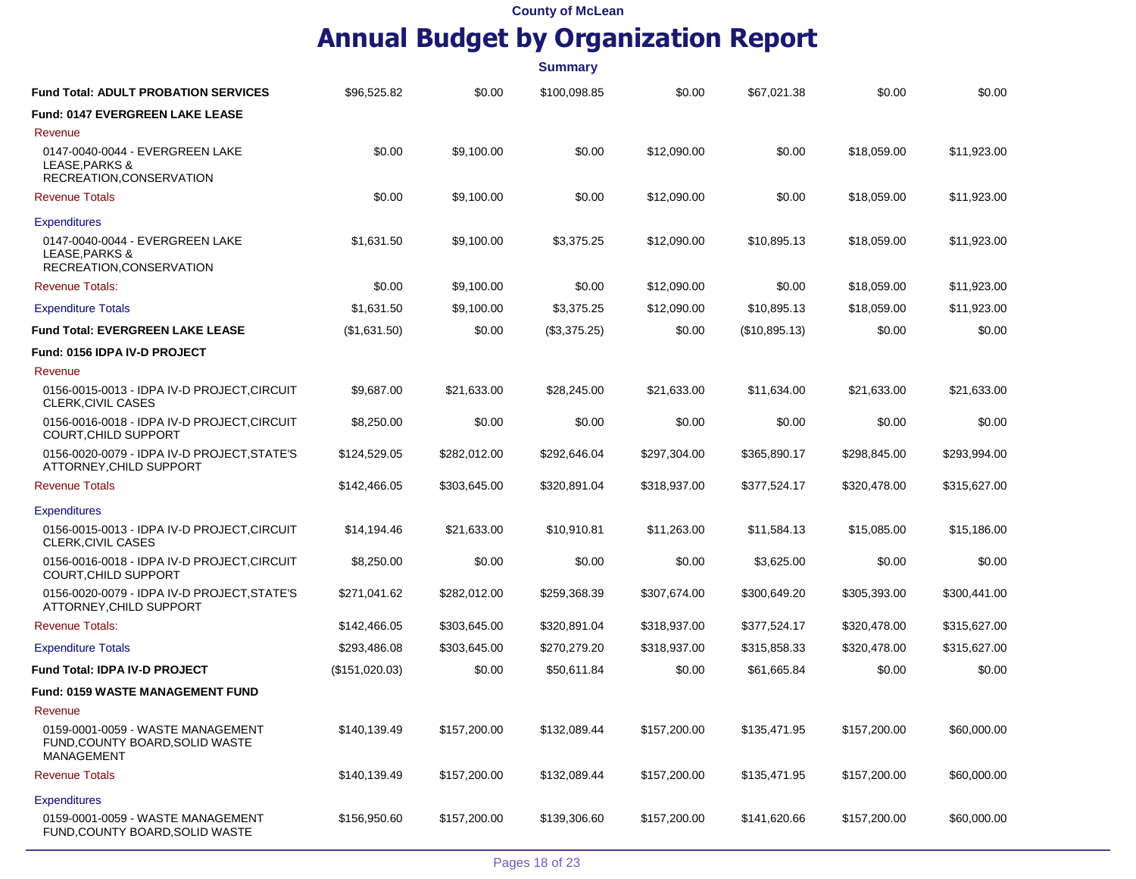|                                                                                    |                |              | <b>Summary</b> |              |               |              |              |
|------------------------------------------------------------------------------------|----------------|--------------|----------------|--------------|---------------|--------------|--------------|
| <b>Fund Total: ADULT PROBATION SERVICES</b>                                        | \$96,525.82    | \$0.00       | \$100,098.85   | \$0.00       | \$67,021.38   | \$0.00       | \$0.00       |
| <b>Fund: 0147 EVERGREEN LAKE LEASE</b>                                             |                |              |                |              |               |              |              |
| Revenue                                                                            |                |              |                |              |               |              |              |
| 0147-0040-0044 - EVERGREEN LAKE<br>LEASE.PARKS &<br>RECREATION, CONSERVATION       | \$0.00         | \$9,100.00   | \$0.00         | \$12,090.00  | \$0.00        | \$18,059.00  | \$11,923.00  |
| <b>Revenue Totals</b>                                                              | \$0.00         | \$9,100.00   | \$0.00         | \$12,090.00  | \$0.00        | \$18,059.00  | \$11,923.00  |
| <b>Expenditures</b>                                                                |                |              |                |              |               |              |              |
| 0147-0040-0044 - EVERGREEN LAKE<br>LEASE, PARKS &<br>RECREATION, CONSERVATION      | \$1,631.50     | \$9,100.00   | \$3,375.25     | \$12,090.00  | \$10,895.13   | \$18,059.00  | \$11,923.00  |
| <b>Revenue Totals:</b>                                                             | \$0.00         | \$9,100.00   | \$0.00         | \$12,090.00  | \$0.00        | \$18,059.00  | \$11,923.00  |
| <b>Expenditure Totals</b>                                                          | \$1,631.50     | \$9,100.00   | \$3,375.25     | \$12,090.00  | \$10,895.13   | \$18,059.00  | \$11,923.00  |
| <b>Fund Total: EVERGREEN LAKE LEASE</b>                                            | (\$1,631.50)   | \$0.00       | (\$3,375.25)   | \$0.00       | (\$10,895.13) | \$0.00       | \$0.00       |
| Fund: 0156 IDPA IV-D PROJECT                                                       |                |              |                |              |               |              |              |
| Revenue                                                                            |                |              |                |              |               |              |              |
| 0156-0015-0013 - IDPA IV-D PROJECT, CIRCUIT<br><b>CLERK, CIVIL CASES</b>           | \$9,687.00     | \$21,633.00  | \$28,245.00    | \$21,633.00  | \$11,634.00   | \$21,633.00  | \$21,633.00  |
| 0156-0016-0018 - IDPA IV-D PROJECT, CIRCUIT<br><b>COURT, CHILD SUPPORT</b>         | \$8,250.00     | \$0.00       | \$0.00         | \$0.00       | \$0.00        | \$0.00       | \$0.00       |
| 0156-0020-0079 - IDPA IV-D PROJECT, STATE'S<br>ATTORNEY, CHILD SUPPORT             | \$124,529.05   | \$282,012.00 | \$292,646.04   | \$297,304.00 | \$365,890.17  | \$298,845.00 | \$293,994.00 |
| <b>Revenue Totals</b>                                                              | \$142,466.05   | \$303,645.00 | \$320,891.04   | \$318,937.00 | \$377,524.17  | \$320,478.00 | \$315,627.00 |
| <b>Expenditures</b>                                                                |                |              |                |              |               |              |              |
| 0156-0015-0013 - IDPA IV-D PROJECT, CIRCUIT<br><b>CLERK, CIVIL CASES</b>           | \$14,194.46    | \$21,633.00  | \$10,910.81    | \$11,263.00  | \$11,584.13   | \$15,085.00  | \$15,186.00  |
| 0156-0016-0018 - IDPA IV-D PROJECT, CIRCUIT<br><b>COURT, CHILD SUPPORT</b>         | \$8,250.00     | \$0.00       | \$0.00         | \$0.00       | \$3,625.00    | \$0.00       | \$0.00       |
| 0156-0020-0079 - IDPA IV-D PROJECT, STATE'S<br>ATTORNEY, CHILD SUPPORT             | \$271,041.62   | \$282,012.00 | \$259,368.39   | \$307,674.00 | \$300,649.20  | \$305,393.00 | \$300,441.00 |
| <b>Revenue Totals:</b>                                                             | \$142,466.05   | \$303,645.00 | \$320,891.04   | \$318,937.00 | \$377,524.17  | \$320,478.00 | \$315,627.00 |
| <b>Expenditure Totals</b>                                                          | \$293,486.08   | \$303,645.00 | \$270,279.20   | \$318,937.00 | \$315,858.33  | \$320,478.00 | \$315,627.00 |
| <b>Fund Total: IDPA IV-D PROJECT</b>                                               | (\$151,020.03) | \$0.00       | \$50,611.84    | \$0.00       | \$61,665.84   | \$0.00       | \$0.00       |
| <b>Fund: 0159 WASTE MANAGEMENT FUND</b>                                            |                |              |                |              |               |              |              |
| Revenue                                                                            |                |              |                |              |               |              |              |
| 0159-0001-0059 - WASTE MANAGEMENT<br>FUND, COUNTY BOARD, SOLID WASTE<br>MANAGEMENT | \$140,139.49   | \$157,200.00 | \$132,089.44   | \$157,200.00 | \$135,471.95  | \$157,200.00 | \$60,000.00  |
| <b>Revenue Totals</b>                                                              | \$140,139.49   | \$157,200.00 | \$132,089.44   | \$157,200.00 | \$135,471.95  | \$157,200.00 | \$60,000.00  |
| Expenditures                                                                       |                |              |                |              |               |              |              |
| 0159-0001-0059 - WASTE MANAGEMENT<br>FUND, COUNTY BOARD, SOLID WASTE               | \$156,950.60   | \$157,200.00 | \$139,306.60   | \$157,200.00 | \$141,620.66  | \$157,200.00 | \$60,000.00  |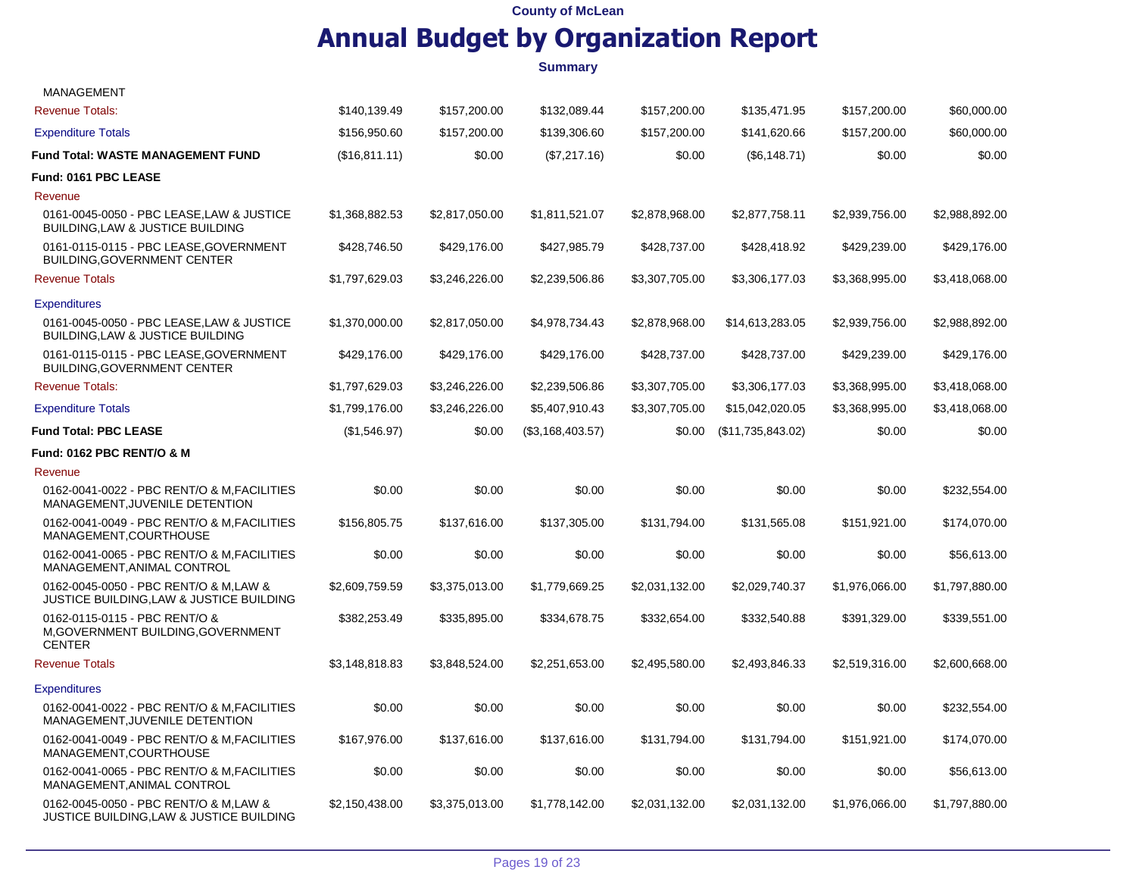### **Annual Budget by Organization Report**

| MANAGEMENT                                                                               |                |                |                  |                |                   |                |                |
|------------------------------------------------------------------------------------------|----------------|----------------|------------------|----------------|-------------------|----------------|----------------|
| <b>Revenue Totals:</b>                                                                   | \$140,139.49   | \$157,200.00   | \$132,089.44     | \$157,200.00   | \$135,471.95      | \$157,200.00   | \$60,000.00    |
| <b>Expenditure Totals</b>                                                                | \$156,950.60   | \$157,200.00   | \$139,306.60     | \$157,200.00   | \$141,620.66      | \$157,200.00   | \$60,000.00    |
| <b>Fund Total: WASTE MANAGEMENT FUND</b>                                                 | (\$16,811.11)  | \$0.00         | (\$7,217.16)     | \$0.00         | (\$6,148.71)      | \$0.00         | \$0.00         |
| Fund: 0161 PBC LEASE                                                                     |                |                |                  |                |                   |                |                |
| Revenue                                                                                  |                |                |                  |                |                   |                |                |
| 0161-0045-0050 - PBC LEASE, LAW & JUSTICE<br><b>BUILDING, LAW &amp; JUSTICE BUILDING</b> | \$1,368,882.53 | \$2,817,050.00 | \$1,811,521.07   | \$2,878,968.00 | \$2,877,758.11    | \$2,939,756.00 | \$2,988,892.00 |
| 0161-0115-0115 - PBC LEASE, GOVERNMENT<br><b>BUILDING, GOVERNMENT CENTER</b>             | \$428,746.50   | \$429,176.00   | \$427,985.79     | \$428,737.00   | \$428,418.92      | \$429,239.00   | \$429,176.00   |
| <b>Revenue Totals</b>                                                                    | \$1,797,629.03 | \$3,246,226.00 | \$2,239,506.86   | \$3,307,705.00 | \$3,306,177.03    | \$3,368,995.00 | \$3,418,068.00 |
| <b>Expenditures</b>                                                                      |                |                |                  |                |                   |                |                |
| 0161-0045-0050 - PBC LEASE.LAW & JUSTICE<br><b>BUILDING, LAW &amp; JUSTICE BUILDING</b>  | \$1,370,000.00 | \$2,817,050.00 | \$4,978,734.43   | \$2,878,968.00 | \$14,613,283.05   | \$2,939,756.00 | \$2,988,892.00 |
| 0161-0115-0115 - PBC LEASE, GOVERNMENT<br><b>BUILDING, GOVERNMENT CENTER</b>             | \$429,176.00   | \$429,176.00   | \$429,176.00     | \$428,737.00   | \$428,737.00      | \$429,239.00   | \$429,176.00   |
| <b>Revenue Totals:</b>                                                                   | \$1,797,629.03 | \$3,246,226.00 | \$2,239,506.86   | \$3,307,705.00 | \$3,306,177.03    | \$3,368,995.00 | \$3,418,068.00 |
| <b>Expenditure Totals</b>                                                                | \$1,799,176.00 | \$3,246,226.00 | \$5,407,910.43   | \$3,307,705.00 | \$15,042,020.05   | \$3,368,995.00 | \$3,418,068.00 |
| <b>Fund Total: PBC LEASE</b>                                                             | (\$1,546.97)   | \$0.00         | (\$3,168,403.57) | \$0.00         | (\$11,735,843.02) | \$0.00         | \$0.00         |
| Fund: 0162 PBC RENT/O & M                                                                |                |                |                  |                |                   |                |                |
| Revenue                                                                                  |                |                |                  |                |                   |                |                |
| 0162-0041-0022 - PBC RENT/O & M.FACILITIES<br>MANAGEMENT, JUVENILE DETENTION             | \$0.00         | \$0.00         | \$0.00           | \$0.00         | \$0.00            | \$0.00         | \$232,554.00   |
| 0162-0041-0049 - PBC RENT/O & M, FACILITIES<br>MANAGEMENT, COURTHOUSE                    | \$156,805.75   | \$137,616.00   | \$137,305.00     | \$131,794.00   | \$131,565.08      | \$151,921.00   | \$174,070.00   |
| 0162-0041-0065 - PBC RENT/O & M, FACILITIES<br>MANAGEMENT, ANIMAL CONTROL                | \$0.00         | \$0.00         | \$0.00           | \$0.00         | \$0.00            | \$0.00         | \$56,613.00    |
| 0162-0045-0050 - PBC RENT/O & M,LAW &<br>JUSTICE BUILDING, LAW & JUSTICE BUILDING        | \$2,609,759.59 | \$3,375,013.00 | \$1,779,669.25   | \$2,031,132.00 | \$2,029,740.37    | \$1,976,066.00 | \$1,797,880.00 |
| 0162-0115-0115 - PBC RENT/O &<br>M, GOVERNMENT BUILDING, GOVERNMENT<br><b>CENTER</b>     | \$382,253.49   | \$335,895.00   | \$334,678.75     | \$332,654.00   | \$332,540.88      | \$391,329.00   | \$339,551.00   |
| <b>Revenue Totals</b>                                                                    | \$3,148,818.83 | \$3,848,524.00 | \$2,251,653.00   | \$2,495,580.00 | \$2,493,846.33    | \$2,519,316.00 | \$2,600,668.00 |
| <b>Expenditures</b>                                                                      |                |                |                  |                |                   |                |                |
| 0162-0041-0022 - PBC RENT/O & M, FACILITIES<br>MANAGEMENT, JUVENILE DETENTION            | \$0.00         | \$0.00         | \$0.00           | \$0.00         | \$0.00            | \$0.00         | \$232,554.00   |
| 0162-0041-0049 - PBC RENT/O & M.FACILITIES<br>MANAGEMENT, COURTHOUSE                     | \$167,976.00   | \$137,616.00   | \$137,616.00     | \$131,794.00   | \$131,794.00      | \$151,921.00   | \$174,070.00   |
| 0162-0041-0065 - PBC RENT/O & M.FACILITIES<br>MANAGEMENT, ANIMAL CONTROL                 | \$0.00         | \$0.00         | \$0.00           | \$0.00         | \$0.00            | \$0.00         | \$56,613.00    |
| 0162-0045-0050 - PBC RENT/O & M,LAW &<br>JUSTICE BUILDING, LAW & JUSTICE BUILDING        | \$2,150,438.00 | \$3,375,013.00 | \$1,778,142.00   | \$2,031,132.00 | \$2,031,132.00    | \$1,976,066.00 | \$1,797,880.00 |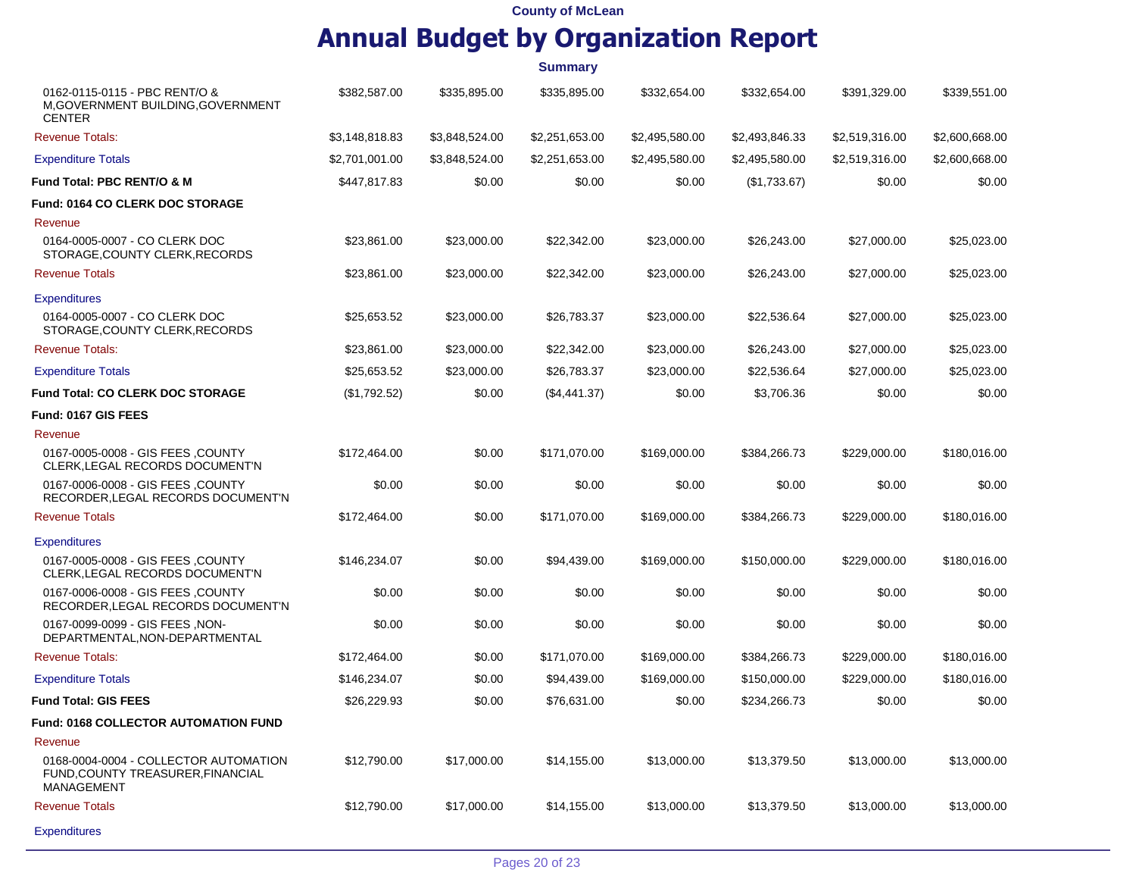|                                                                                                 |                |                | <b>Summary</b> |                |                |                |                |
|-------------------------------------------------------------------------------------------------|----------------|----------------|----------------|----------------|----------------|----------------|----------------|
| 0162-0115-0115 - PBC RENT/O &<br>M, GOVERNMENT BUILDING, GOVERNMENT<br><b>CENTER</b>            | \$382,587.00   | \$335,895.00   | \$335,895.00   | \$332,654.00   | \$332,654.00   | \$391,329.00   | \$339,551.00   |
| <b>Revenue Totals:</b>                                                                          | \$3,148,818.83 | \$3,848,524.00 | \$2,251,653.00 | \$2,495,580.00 | \$2,493,846.33 | \$2,519,316.00 | \$2,600,668.00 |
| <b>Expenditure Totals</b>                                                                       | \$2,701,001.00 | \$3,848,524.00 | \$2,251,653.00 | \$2,495,580.00 | \$2,495,580.00 | \$2,519,316.00 | \$2,600,668.00 |
| Fund Total: PBC RENT/O & M                                                                      | \$447,817.83   | \$0.00         | \$0.00         | \$0.00         | (\$1,733.67)   | \$0.00         | \$0.00         |
| Fund: 0164 CO CLERK DOC STORAGE                                                                 |                |                |                |                |                |                |                |
| Revenue                                                                                         |                |                |                |                |                |                |                |
| 0164-0005-0007 - CO CLERK DOC<br>STORAGE.COUNTY CLERK.RECORDS                                   | \$23,861.00    | \$23,000.00    | \$22,342.00    | \$23,000.00    | \$26,243.00    | \$27,000.00    | \$25,023.00    |
| <b>Revenue Totals</b>                                                                           | \$23,861.00    | \$23,000.00    | \$22,342.00    | \$23,000.00    | \$26,243.00    | \$27,000.00    | \$25,023.00    |
| <b>Expenditures</b>                                                                             |                |                |                |                |                |                |                |
| 0164-0005-0007 - CO CLERK DOC<br>STORAGE, COUNTY CLERK, RECORDS                                 | \$25,653.52    | \$23,000.00    | \$26,783.37    | \$23,000.00    | \$22,536.64    | \$27,000.00    | \$25,023.00    |
| <b>Revenue Totals:</b>                                                                          | \$23,861.00    | \$23,000.00    | \$22,342.00    | \$23,000.00    | \$26,243.00    | \$27,000.00    | \$25,023.00    |
| <b>Expenditure Totals</b>                                                                       | \$25,653.52    | \$23,000.00    | \$26,783.37    | \$23,000.00    | \$22,536.64    | \$27,000.00    | \$25,023.00    |
| Fund Total: CO CLERK DOC STORAGE                                                                | (\$1,792.52)   | \$0.00         | (\$4,441.37)   | \$0.00         | \$3,706.36     | \$0.00         | \$0.00         |
| Fund: 0167 GIS FEES                                                                             |                |                |                |                |                |                |                |
| Revenue                                                                                         |                |                |                |                |                |                |                |
| 0167-0005-0008 - GIS FEES, COUNTY<br>CLERK, LEGAL RECORDS DOCUMENT'N                            | \$172,464.00   | \$0.00         | \$171,070.00   | \$169,000.00   | \$384,266.73   | \$229,000.00   | \$180,016.00   |
| 0167-0006-0008 - GIS FEES , COUNTY<br>RECORDER, LEGAL RECORDS DOCUMENT'N                        | \$0.00         | \$0.00         | \$0.00         | \$0.00         | \$0.00         | \$0.00         | \$0.00         |
| <b>Revenue Totals</b>                                                                           | \$172,464.00   | \$0.00         | \$171,070.00   | \$169,000.00   | \$384,266.73   | \$229,000.00   | \$180,016.00   |
| <b>Expenditures</b>                                                                             |                |                |                |                |                |                |                |
| 0167-0005-0008 - GIS FEES, COUNTY<br>CLERK, LEGAL RECORDS DOCUMENT'N                            | \$146,234.07   | \$0.00         | \$94,439.00    | \$169,000.00   | \$150,000.00   | \$229,000.00   | \$180,016.00   |
| 0167-0006-0008 - GIS FEES ,COUNTY<br>RECORDER, LEGAL RECORDS DOCUMENT'N                         | \$0.00         | \$0.00         | \$0.00         | \$0.00         | \$0.00         | \$0.00         | \$0.00         |
| 0167-0099-0099 - GIS FEES, NON-<br>DEPARTMENTAL, NON-DEPARTMENTAL                               | \$0.00         | \$0.00         | \$0.00         | \$0.00         | \$0.00         | \$0.00         | \$0.00         |
| <b>Revenue Totals:</b>                                                                          | \$172,464.00   | \$0.00         | \$171,070.00   | \$169,000.00   | \$384,266.73   | \$229,000.00   | \$180,016.00   |
| <b>Expenditure Totals</b>                                                                       | \$146,234.07   | \$0.00         | \$94,439.00    | \$169,000.00   | \$150,000.00   | \$229,000.00   | \$180,016.00   |
| <b>Fund Total: GIS FEES</b>                                                                     | \$26,229.93    | \$0.00         | \$76,631.00    | \$0.00         | \$234,266.73   | \$0.00         | \$0.00         |
| Fund: 0168 COLLECTOR AUTOMATION FUND                                                            |                |                |                |                |                |                |                |
| Revenue                                                                                         |                |                |                |                |                |                |                |
| 0168-0004-0004 - COLLECTOR AUTOMATION<br>FUND, COUNTY TREASURER, FINANCIAL<br><b>MANAGEMENT</b> | \$12,790.00    | \$17,000.00    | \$14,155.00    | \$13,000.00    | \$13,379.50    | \$13,000.00    | \$13,000.00    |
| <b>Revenue Totals</b>                                                                           | \$12,790.00    | \$17,000.00    | \$14,155.00    | \$13,000.00    | \$13,379.50    | \$13,000.00    | \$13,000.00    |
| <b>Expenditures</b>                                                                             |                |                |                |                |                |                |                |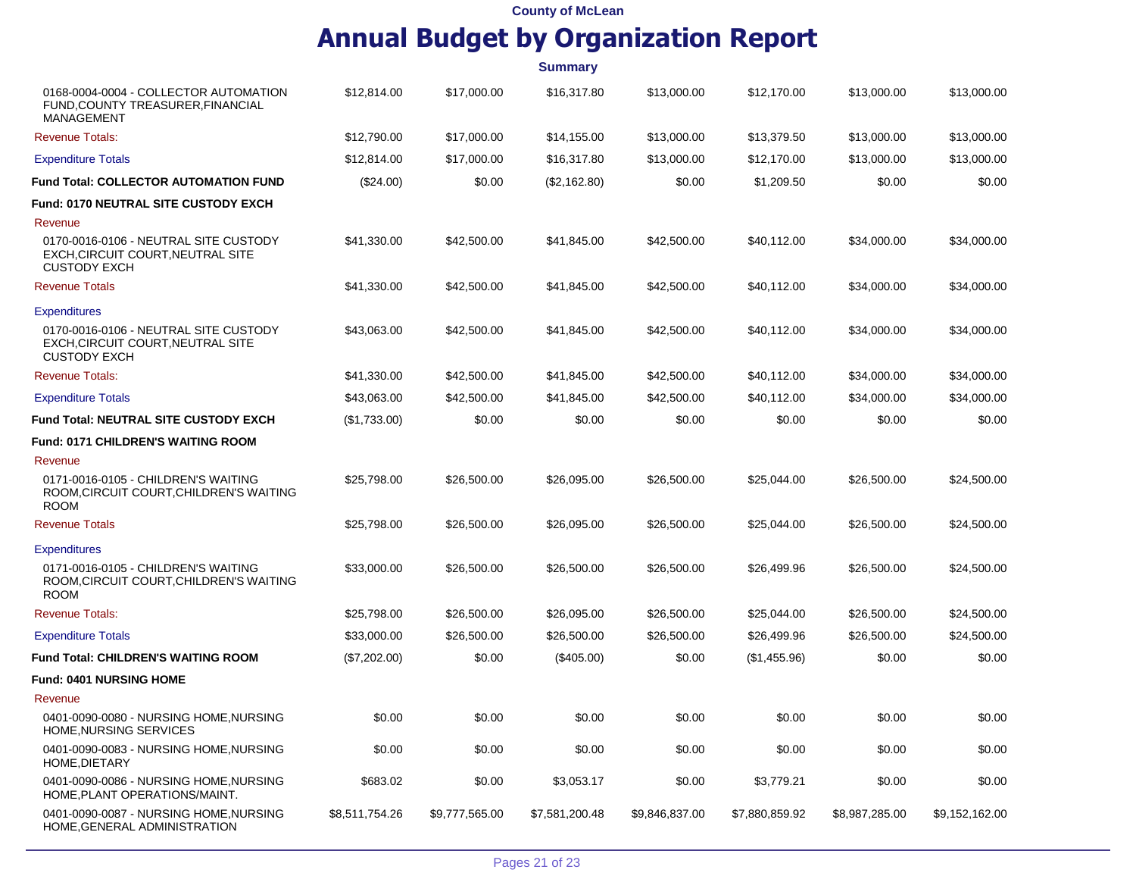|                                                                                                   |                |                | <b>Summary</b> |                |                |                |                |
|---------------------------------------------------------------------------------------------------|----------------|----------------|----------------|----------------|----------------|----------------|----------------|
| 0168-0004-0004 - COLLECTOR AUTOMATION<br>FUND, COUNTY TREASURER, FINANCIAL<br><b>MANAGEMENT</b>   | \$12,814.00    | \$17,000.00    | \$16,317.80    | \$13,000.00    | \$12,170.00    | \$13,000.00    | \$13,000.00    |
| <b>Revenue Totals:</b>                                                                            | \$12,790.00    | \$17,000.00    | \$14,155.00    | \$13,000.00    | \$13,379.50    | \$13,000.00    | \$13,000.00    |
| <b>Expenditure Totals</b>                                                                         | \$12,814.00    | \$17,000.00    | \$16,317.80    | \$13,000.00    | \$12,170.00    | \$13,000.00    | \$13,000.00    |
| Fund Total: COLLECTOR AUTOMATION FUND                                                             | (\$24.00)      | \$0.00         | (\$2,162.80)   | \$0.00         | \$1,209.50     | \$0.00         | \$0.00         |
| Fund: 0170 NEUTRAL SITE CUSTODY EXCH                                                              |                |                |                |                |                |                |                |
| Revenue                                                                                           |                |                |                |                |                |                |                |
| 0170-0016-0106 - NEUTRAL SITE CUSTODY<br>EXCH, CIRCUIT COURT, NEUTRAL SITE<br><b>CUSTODY EXCH</b> | \$41,330.00    | \$42,500.00    | \$41,845.00    | \$42,500.00    | \$40,112.00    | \$34,000.00    | \$34,000.00    |
| <b>Revenue Totals</b>                                                                             | \$41,330.00    | \$42,500.00    | \$41,845.00    | \$42,500.00    | \$40,112.00    | \$34,000.00    | \$34,000.00    |
| <b>Expenditures</b>                                                                               |                |                |                |                |                |                |                |
| 0170-0016-0106 - NEUTRAL SITE CUSTODY<br>EXCH, CIRCUIT COURT, NEUTRAL SITE<br><b>CUSTODY EXCH</b> | \$43,063.00    | \$42,500.00    | \$41,845.00    | \$42,500.00    | \$40,112.00    | \$34,000.00    | \$34,000.00    |
| <b>Revenue Totals:</b>                                                                            | \$41,330.00    | \$42,500.00    | \$41,845.00    | \$42,500.00    | \$40,112.00    | \$34,000.00    | \$34,000.00    |
| <b>Expenditure Totals</b>                                                                         | \$43,063.00    | \$42,500.00    | \$41,845.00    | \$42,500.00    | \$40,112.00    | \$34,000.00    | \$34,000.00    |
| Fund Total: NEUTRAL SITE CUSTODY EXCH                                                             | (\$1,733.00)   | \$0.00         | \$0.00         | \$0.00         | \$0.00         | \$0.00         | \$0.00         |
| <b>Fund: 0171 CHILDREN'S WAITING ROOM</b>                                                         |                |                |                |                |                |                |                |
| Revenue                                                                                           |                |                |                |                |                |                |                |
| 0171-0016-0105 - CHILDREN'S WAITING<br>ROOM, CIRCUIT COURT, CHILDREN'S WAITING<br><b>ROOM</b>     | \$25,798.00    | \$26,500.00    | \$26,095.00    | \$26,500.00    | \$25,044.00    | \$26,500.00    | \$24,500.00    |
| <b>Revenue Totals</b>                                                                             | \$25,798.00    | \$26,500.00    | \$26,095.00    | \$26,500.00    | \$25,044.00    | \$26,500.00    | \$24,500.00    |
| <b>Expenditures</b>                                                                               |                |                |                |                |                |                |                |
| 0171-0016-0105 - CHILDREN'S WAITING<br>ROOM, CIRCUIT COURT, CHILDREN'S WAITING<br><b>ROOM</b>     | \$33,000.00    | \$26,500.00    | \$26,500.00    | \$26,500.00    | \$26,499.96    | \$26,500.00    | \$24,500.00    |
| <b>Revenue Totals:</b>                                                                            | \$25,798.00    | \$26,500.00    | \$26,095.00    | \$26,500.00    | \$25,044.00    | \$26,500.00    | \$24,500.00    |
| <b>Expenditure Totals</b>                                                                         | \$33,000.00    | \$26,500.00    | \$26,500.00    | \$26,500.00    | \$26,499.96    | \$26,500.00    | \$24,500.00    |
| <b>Fund Total: CHILDREN'S WAITING ROOM</b>                                                        | (\$7,202.00)   | \$0.00         | $(\$405.00)$   | \$0.00         | (\$1,455.96)   | \$0.00         | \$0.00         |
| <b>Fund: 0401 NURSING HOME</b>                                                                    |                |                |                |                |                |                |                |
| Revenue                                                                                           |                |                |                |                |                |                |                |
| 0401-0090-0080 - NURSING HOME, NURSING<br>HOME, NURSING SERVICES                                  | \$0.00         | \$0.00         | \$0.00         | \$0.00         | \$0.00         | \$0.00         | \$0.00         |
| 0401-0090-0083 - NURSING HOME, NURSING<br>HOME, DIETARY                                           | \$0.00         | \$0.00         | \$0.00         | \$0.00         | \$0.00         | \$0.00         | \$0.00         |
| 0401-0090-0086 - NURSING HOME, NURSING<br>HOME, PLANT OPERATIONS/MAINT.                           | \$683.02       | \$0.00         | \$3,053.17     | \$0.00         | \$3,779.21     | \$0.00         | \$0.00         |
| 0401-0090-0087 - NURSING HOME, NURSING<br>HOME, GENERAL ADMINISTRATION                            | \$8,511,754.26 | \$9,777,565.00 | \$7,581,200.48 | \$9,846,837.00 | \$7,880,859.92 | \$8,987,285.00 | \$9,152,162.00 |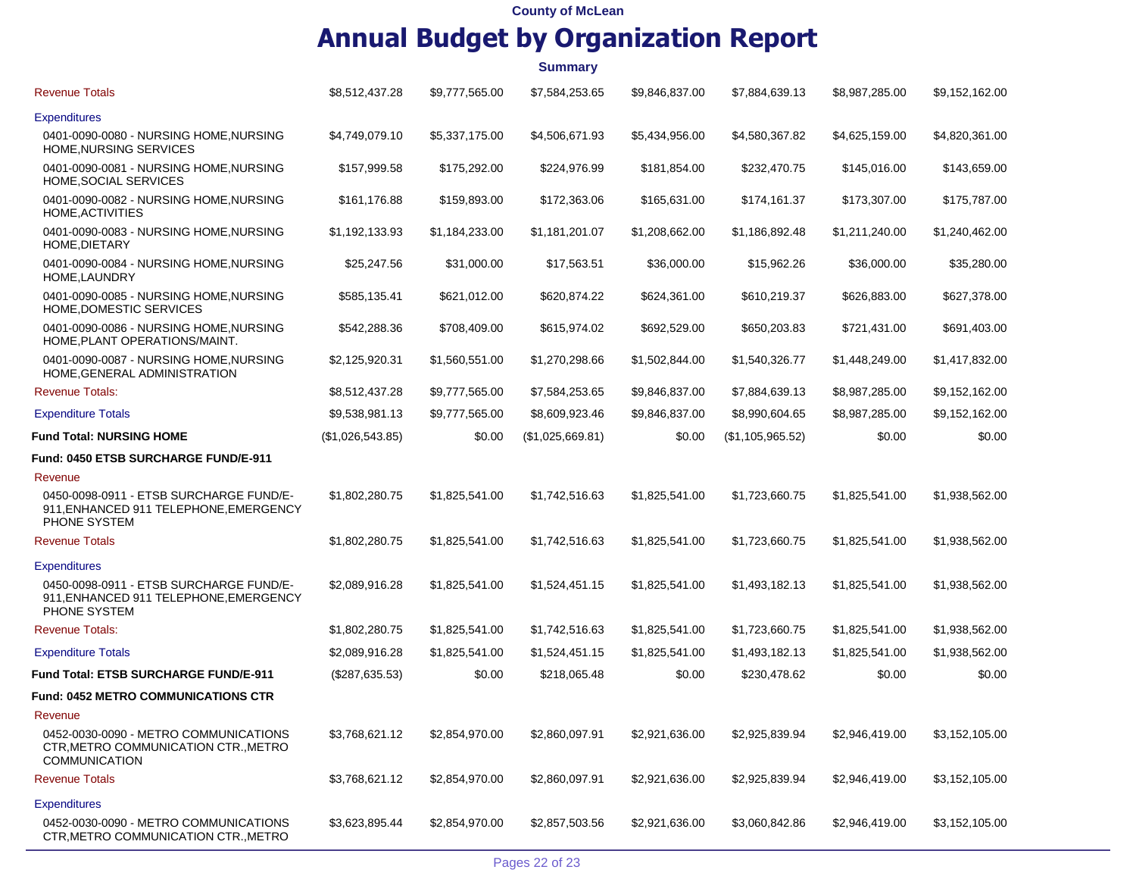|                                                                                                       |                  |                | <b>Summary</b>   |                |                  |                |                |
|-------------------------------------------------------------------------------------------------------|------------------|----------------|------------------|----------------|------------------|----------------|----------------|
| <b>Revenue Totals</b>                                                                                 | \$8,512,437.28   | \$9,777,565.00 | \$7,584,253.65   | \$9,846,837.00 | \$7,884,639.13   | \$8,987,285.00 | \$9,152,162.00 |
| <b>Expenditures</b>                                                                                   |                  |                |                  |                |                  |                |                |
| 0401-0090-0080 - NURSING HOME, NURSING<br>HOME, NURSING SERVICES                                      | \$4,749,079.10   | \$5,337,175.00 | \$4,506,671.93   | \$5,434,956.00 | \$4,580,367.82   | \$4,625,159.00 | \$4,820,361.00 |
| 0401-0090-0081 - NURSING HOME, NURSING<br>HOME, SOCIAL SERVICES                                       | \$157,999.58     | \$175,292.00   | \$224,976.99     | \$181,854.00   | \$232,470.75     | \$145,016.00   | \$143,659.00   |
| 0401-0090-0082 - NURSING HOME, NURSING<br>HOME, ACTIVITIES                                            | \$161,176.88     | \$159,893.00   | \$172,363.06     | \$165,631.00   | \$174,161.37     | \$173,307.00   | \$175,787.00   |
| 0401-0090-0083 - NURSING HOME, NURSING<br>HOME, DIETARY                                               | \$1,192,133.93   | \$1,184,233.00 | \$1,181,201.07   | \$1,208,662.00 | \$1,186,892.48   | \$1,211,240.00 | \$1,240,462.00 |
| 0401-0090-0084 - NURSING HOME, NURSING<br>HOME, LAUNDRY                                               | \$25,247.56      | \$31,000.00    | \$17,563.51      | \$36,000.00    | \$15,962.26      | \$36,000.00    | \$35,280.00    |
| 0401-0090-0085 - NURSING HOME, NURSING<br>HOME, DOMESTIC SERVICES                                     | \$585,135.41     | \$621,012.00   | \$620,874.22     | \$624,361.00   | \$610,219.37     | \$626,883.00   | \$627,378.00   |
| 0401-0090-0086 - NURSING HOME, NURSING<br>HOME, PLANT OPERATIONS/MAINT.                               | \$542,288.36     | \$708,409.00   | \$615,974.02     | \$692,529.00   | \$650,203.83     | \$721,431.00   | \$691,403.00   |
| 0401-0090-0087 - NURSING HOME, NURSING<br>HOME, GENERAL ADMINISTRATION                                | \$2,125,920.31   | \$1,560,551.00 | \$1,270,298.66   | \$1,502,844.00 | \$1,540,326.77   | \$1,448,249.00 | \$1,417,832.00 |
| <b>Revenue Totals:</b>                                                                                | \$8,512,437.28   | \$9,777,565.00 | \$7,584,253.65   | \$9,846,837.00 | \$7,884,639.13   | \$8,987,285.00 | \$9,152,162.00 |
| <b>Expenditure Totals</b>                                                                             | \$9,538,981.13   | \$9,777,565.00 | \$8,609,923.46   | \$9,846,837.00 | \$8,990,604.65   | \$8,987,285.00 | \$9,152,162.00 |
| Fund Total: NURSING HOME                                                                              | (\$1,026,543.85) | \$0.00         | (\$1,025,669.81) | \$0.00         | (\$1,105,965.52) | \$0.00         | \$0.00         |
| Fund: 0450 ETSB SURCHARGE FUND/E-911                                                                  |                  |                |                  |                |                  |                |                |
| Revenue                                                                                               |                  |                |                  |                |                  |                |                |
| 0450-0098-0911 - ETSB SURCHARGE FUND/E-<br>911, ENHANCED 911 TELEPHONE, EMERGENCY<br>PHONE SYSTEM     | \$1,802,280.75   | \$1,825,541.00 | \$1,742,516.63   | \$1,825,541.00 | \$1,723,660.75   | \$1,825,541.00 | \$1,938,562.00 |
| <b>Revenue Totals</b>                                                                                 | \$1,802,280.75   | \$1,825,541.00 | \$1,742,516.63   | \$1,825,541.00 | \$1,723,660.75   | \$1,825,541.00 | \$1,938,562.00 |
| <b>Expenditures</b>                                                                                   |                  |                |                  |                |                  |                |                |
| 0450-0098-0911 - ETSB SURCHARGE FUND/E-<br>911, ENHANCED 911 TELEPHONE, EMERGENCY<br>PHONE SYSTEM     | \$2,089,916.28   | \$1,825,541.00 | \$1,524,451.15   | \$1,825,541.00 | \$1,493,182.13   | \$1,825,541.00 | \$1,938,562.00 |
| <b>Revenue Totals:</b>                                                                                | \$1,802,280.75   | \$1,825,541.00 | \$1,742,516.63   | \$1,825,541.00 | \$1,723,660.75   | \$1,825,541.00 | \$1,938,562.00 |
| <b>Expenditure Totals</b>                                                                             | \$2,089,916.28   | \$1,825,541.00 | \$1,524,451.15   | \$1,825,541.00 | \$1,493,182.13   | \$1,825,541.00 | \$1,938,562.00 |
| Fund Total: ETSB SURCHARGE FUND/E-911                                                                 | (\$287,635.53)   | \$0.00         | \$218,065.48     | \$0.00         | \$230,478.62     | \$0.00         | \$0.00         |
| Fund: 0452 METRO COMMUNICATIONS CTR                                                                   |                  |                |                  |                |                  |                |                |
| Revenue                                                                                               |                  |                |                  |                |                  |                |                |
| 0452-0030-0090 - METRO COMMUNICATIONS<br>CTR, METRO COMMUNICATION CTR., METRO<br><b>COMMUNICATION</b> | \$3,768,621.12   | \$2,854,970.00 | \$2,860,097.91   | \$2,921,636.00 | \$2,925,839.94   | \$2,946,419.00 | \$3,152,105.00 |
| <b>Revenue Totals</b>                                                                                 | \$3,768,621.12   | \$2,854,970.00 | \$2,860,097.91   | \$2,921,636.00 | \$2,925,839.94   | \$2,946,419.00 | \$3,152,105.00 |
| <b>Expenditures</b>                                                                                   |                  |                |                  |                |                  |                |                |
| 0452-0030-0090 - METRO COMMUNICATIONS<br>CTR, METRO COMMUNICATION CTR., METRO                         | \$3,623,895.44   | \$2,854,970.00 | \$2,857,503.56   | \$2,921,636.00 | \$3,060,842.86   | \$2,946,419.00 | \$3,152,105.00 |